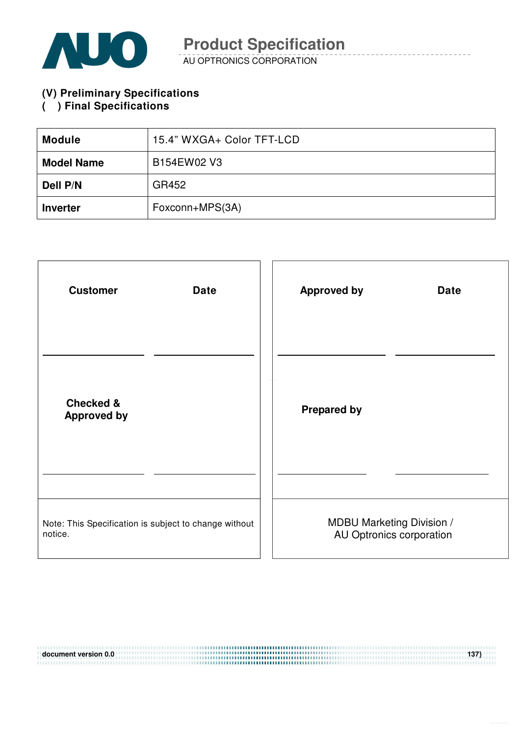

AU OPTRONICS CORPORATION

**(V) Preliminary Specifications** 

#### **( ) Final Specifications**

| <b>Module</b>     | 15.4" WXGA+ Color TFT-LCD |  |  |
|-------------------|---------------------------|--|--|
| <b>Model Name</b> | B154EW02 V3               |  |  |
| Dell P/N          | GR452                     |  |  |
| <b>Inverter</b>   | Foxconn+MPS(3A)           |  |  |

| <b>Customer</b>                                       | <b>Approved by</b>               |
|-------------------------------------------------------|----------------------------------|
| <b>Date</b>                                           | <b>Date</b>                      |
| <b>Checked &amp;</b><br><b>Approved by</b>            | <b>Prepared by</b>               |
| Note: This Specification is subject to change without | <b>MDBU Marketing Division /</b> |
| notice.                                               | AU Optronics corporation         |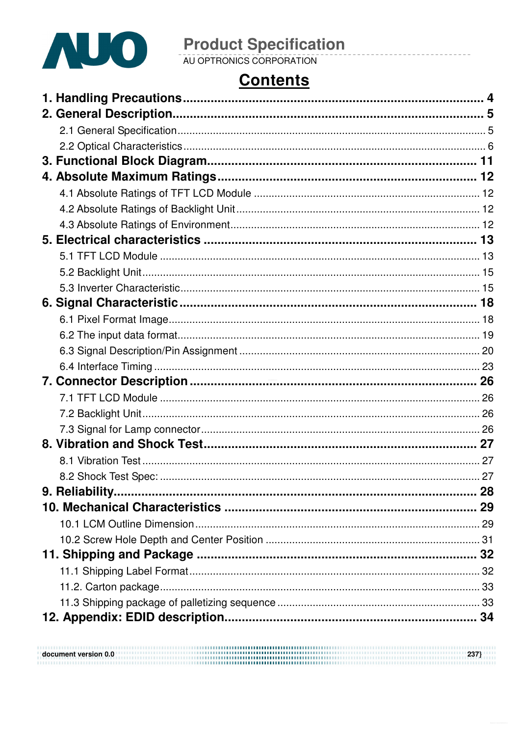

# **Contents**

| 8.2 Shock Test Spec:. |  |
|-----------------------|--|
|                       |  |
|                       |  |
|                       |  |
|                       |  |
|                       |  |
|                       |  |
|                       |  |
|                       |  |
|                       |  |
|                       |  |

 $\begin{minipage}{.4\linewidth} \textbf{document version 0.0} \end{minipage} \begin{minipage}{.4\linewidth} \textbf{237} \end{minipage} \begin{minipage}{.4\linewidth} \textbf{237} \end{minipage} \begin{minipage}{.4\linewidth} \textbf{237} \end{minipage} \begin{minipage}{.4\linewidth} \textbf{237} \end{minipage} \begin{minipage}{.4\linewidth} \textbf{237} \end{minipage} \begin{minipage}{.4\linewidth} \textbf{237} \end{minipage} \begin{minipage}{.4\linewidth} \textbf{237} \end{minipage} \$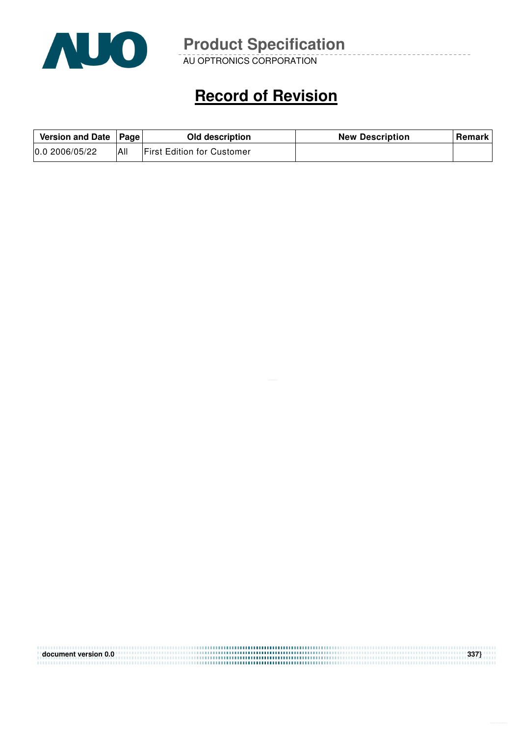

AU OPTRONICS CORPORATION

# **Record of Revision**

| Version and Date   Page |     | Old description                   | <b>New Description</b> | Remark |
|-------------------------|-----|-----------------------------------|------------------------|--------|
| 0.02006/05/22           | All | <b>First Edition for Customer</b> |                        |        |

| document version 0.0 | 337} |
|----------------------|------|
|                      |      |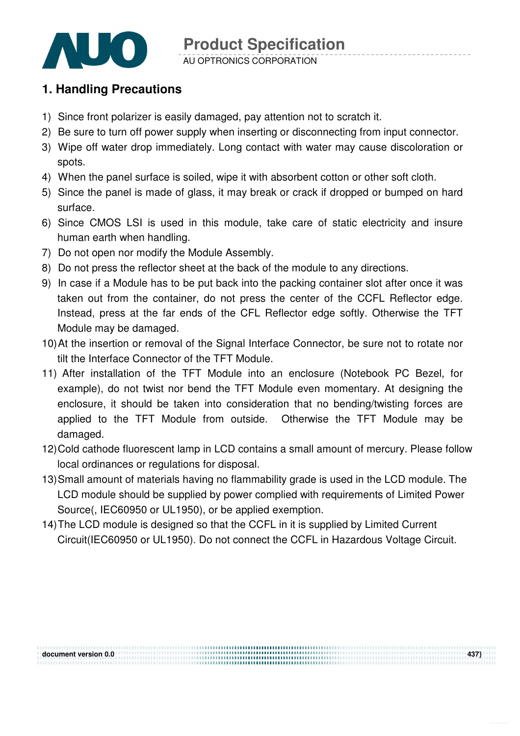

#### **1. Handling Precautions**

- 1) Since front polarizer is easily damaged, pay attention not to scratch it.
- 2) Be sure to turn off power supply when inserting or disconnecting from input connector.
- 3) Wipe off water drop immediately. Long contact with water may cause discoloration or spots.
- 4) When the panel surface is soiled, wipe it with absorbent cotton or other soft cloth.
- 5) Since the panel is made of glass, it may break or crack if dropped or bumped on hard surface.
- 6) Since CMOS LSI is used in this module, take care of static electricity and insure human earth when handling.
- 7) Do not open nor modify the Module Assembly.
- 8) Do not press the reflector sheet at the back of the module to any directions.
- 9) In case if a Module has to be put back into the packing container slot after once it was taken out from the container, do not press the center of the CCFL Reflector edge. Instead, press at the far ends of the CFL Reflector edge softly. Otherwise the TFT Module may be damaged.
- 10) At the insertion or removal of the Signal Interface Connector, be sure not to rotate nor tilt the Interface Connector of the TFT Module.
- 11) After installation of the TFT Module into an enclosure (Notebook PC Bezel, for example), do not twist nor bend the TFT Module even momentary. At designing the enclosure, it should be taken into consideration that no bending/twisting forces are applied to the TFT Module from outside. Otherwise the TFT Module may be damaged.
- 12) Cold cathode fluorescent lamp in LCD contains a small amount of mercury. Please follow local ordinances or regulations for disposal.
- 13) Small amount of materials having no flammability grade is used in the LCD module. The LCD module should be supplied by power complied with requirements of Limited Power Source(, IEC60950 or UL1950), or be applied exemption.
- 14) The LCD module is designed so that the CCFL in it is supplied by Limited Current Circuit(IEC60950 or UL1950). Do not connect the CCFL in Hazardous Voltage Circuit.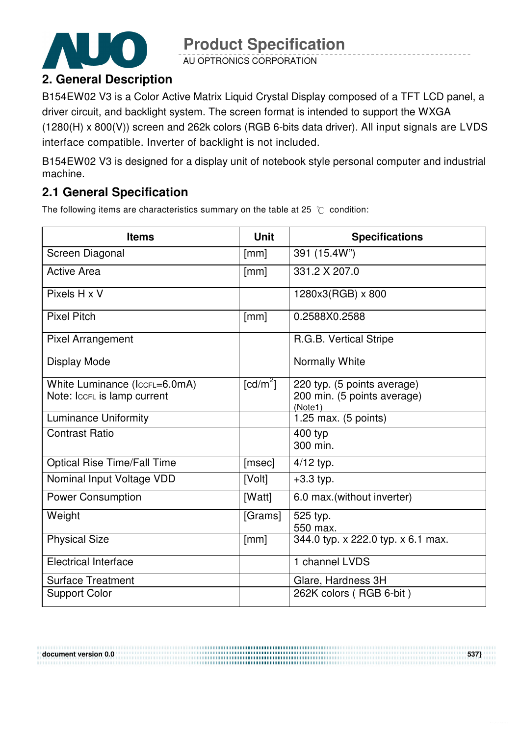

AU OPTRONICS CORPORATION

## **2. General Description**

B154EW02 V3 is a Color Active Matrix Liquid Crystal Display composed of a TFT LCD panel, a driver circuit, and backlight system. The screen format is intended to support the WXGA (1280(H) x 800(V)) screen and 262k colors (RGB 6-bits data driver). All input signals are LVDS interface compatible. Inverter of backlight is not included.

B154EW02 V3 is designed for a display unit of notebook style personal computer and industrial machine.

### **2.1 General Specification**

The following items are characteristics summary on the table at 25  $\degree$ C condition:

| <b>Items</b>                       | <b>Unit</b>            | <b>Specifications</b>                  |
|------------------------------------|------------------------|----------------------------------------|
| Screen Diagonal                    | [mm]                   | 391 (15.4W")                           |
| <b>Active Area</b>                 | [mm]                   | 331.2 X 207.0                          |
| Pixels H x V                       |                        | 1280x3(RGB) x 800                      |
| <b>Pixel Pitch</b>                 | [mm]                   | 0.2588X0.2588                          |
| <b>Pixel Arrangement</b>           |                        | R.G.B. Vertical Stripe                 |
| Display Mode                       |                        | Normally White                         |
| White Luminance (IccFL=6.0mA)      | $\lceil cd/m^2 \rceil$ | 220 typ. (5 points average)            |
| Note: IccFL is lamp current        |                        | 200 min. (5 points average)<br>(Note1) |
| <b>Luminance Uniformity</b>        |                        | 1.25 max. (5 points)                   |
| <b>Contrast Ratio</b>              |                        | 400 typ<br>300 min.                    |
| <b>Optical Rise Time/Fall Time</b> | [msec]                 | $4/12$ typ.                            |
| Nominal Input Voltage VDD          | [Volt]                 | $+3.3$ typ.                            |
| <b>Power Consumption</b>           | [Watt]                 | 6.0 max.(without inverter)             |
| Weight                             | [Grams]                | 525 typ.<br>550 max.                   |
| <b>Physical Size</b>               | [mm]                   | 344.0 typ. x 222.0 typ. x 6.1 max.     |
| <b>Electrical Interface</b>        |                        | 1 channel LVDS                         |
| <b>Surface Treatment</b>           |                        | Glare, Hardness 3H                     |
| <b>Support Color</b>               |                        | 262K colors (RGB 6-bit)                |

**document version 0.0 537}**  .....................................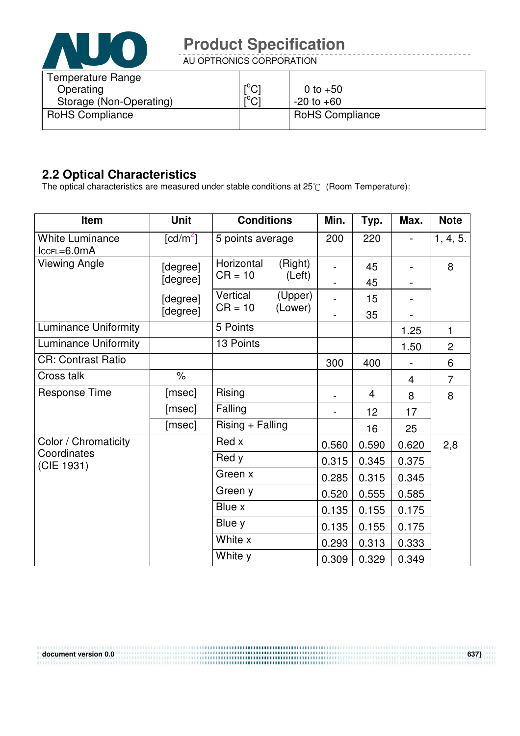

AU OPTRONICS CORPORATION

| Temperature Range<br>Operating | $\lceil{^{\circ}C}\rceil$ | 0 to $+50$             |
|--------------------------------|---------------------------|------------------------|
| Storage (Non-Operating)        | $10 \cap 1$               | $-20$ to $+60$         |
| <b>RoHS Compliance</b>         |                           | <b>RoHS Compliance</b> |

#### **2.2 Optical Characteristics**

The optical characteristics are measured under stable conditions at 25 $\degree$  (Room Temperature):

| Item                                    | <b>Unit</b>            | <b>Conditions</b>       |                    | Min.           | Typ.           | Max.  | <b>Note</b>    |
|-----------------------------------------|------------------------|-------------------------|--------------------|----------------|----------------|-------|----------------|
| <b>White Luminance</b><br>$lccFL=6.0mA$ | $\lceil cd/m^2 \rceil$ | 5 points average        |                    | 200            | 220            |       | 1, 4, 5.       |
| <b>Viewing Angle</b>                    | [degree]<br>[degree]   | Horizontal<br>$CR = 10$ | (Right)<br>(Left)  |                | 45<br>45       |       | 8              |
|                                         | [degree]<br>[degree]   | Vertical<br>$CR = 10$   | (Upper)<br>(Lower) |                | 15<br>35       |       |                |
| <b>Luminance Uniformity</b>             |                        | 5 Points                |                    |                |                | 1.25  | 1              |
| <b>Luminance Uniformity</b>             |                        | 13 Points               |                    |                |                | 1.50  | $\overline{c}$ |
| <b>CR: Contrast Ratio</b>               |                        |                         |                    | 300            | 400            |       | 6              |
| Cross talk                              | $\frac{1}{2}$          |                         |                    |                |                | 4     | $\overline{7}$ |
| <b>Response Time</b>                    | [msec]                 | Rising                  |                    |                | $\overline{4}$ | 8     | 8              |
|                                         | [msec]                 | Falling                 |                    | $\blacksquare$ | 12             | 17    |                |
|                                         | [msec]                 | Rising + Falling        |                    |                | 16             | 25    |                |
| Color / Chromaticity                    |                        | Red x                   |                    | 0.560          | 0.590          | 0.620 | 2,8            |
| Coordinates<br>(CIE 1931)               |                        | Red y                   |                    | 0.315          | 0.345          | 0.375 |                |
|                                         |                        | Green x                 |                    | 0.285          | 0.315          | 0.345 |                |
|                                         |                        | Green y                 |                    | 0.520          | 0.555          | 0.585 |                |
|                                         |                        | Blue x                  |                    | 0.135          | 0.155          | 0.175 |                |
|                                         |                        | Blue y                  |                    | 0.135          | 0.155          | 0.175 |                |
|                                         |                        | White x                 |                    | 0.293          | 0.313          | 0.333 |                |
|                                         |                        | White y                 |                    | 0.309          | 0.329          | 0.349 |                |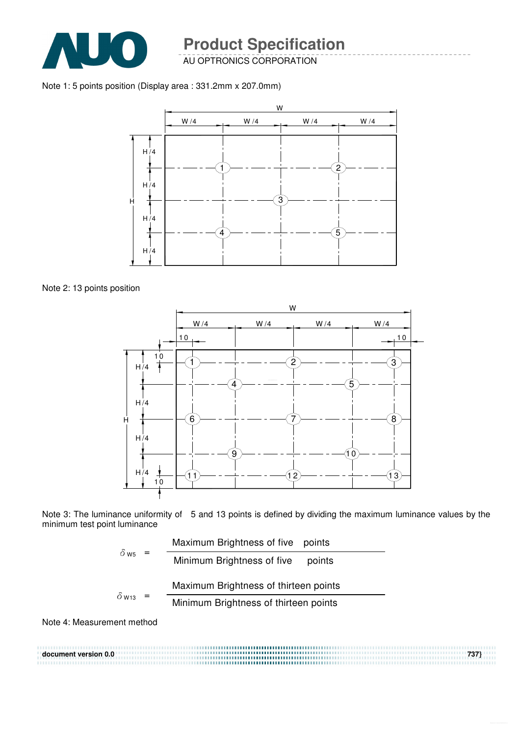

AU OPTRONICS CORPORATION

Note 1: 5 points position (Display area : 331.2mm x 207.0mm)



Note 2: 13 points position



Note 3: The luminance uniformity of 5 and 13 points is defined by dividing the maximum luminance values by the minimum test point luminance

$$
\delta_{\text{ws}} = \frac{\text{Maximum brightness of five points}}{\text{Minimum brightness of five points}}
$$
\n
$$
\delta_{\text{w13}} = \frac{\text{Maximum brightness of thirteen points}}{\text{Minimum brightness of thirteen points}}
$$

Note 4: Measurement method

**document version 0.0 737}**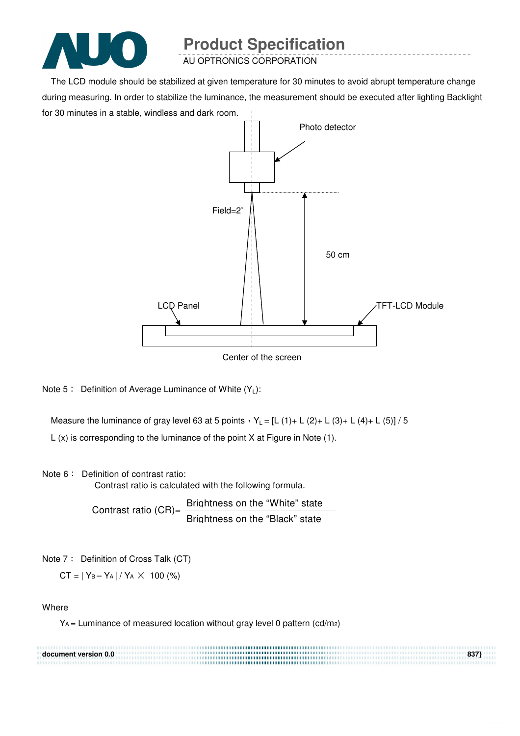

AU OPTRONICS CORPORATION

The LCD module should be stabilized at given temperature for 30 minutes to avoid abrupt temperature change during measuring. In order to stabilize the luminance, the measurement should be executed after lighting Backlight for 30 minutes in a stable, windless and dark room.



Center of the screen

Note  $5:$  Definition of Average Luminance of White  $(Y_L):$ 

Measure the luminance of gray level 63 at 5 points  $Y_L = [L (1) + L (2) + L (3) + L (4) + L (5)] / 5$ 

L (x) is corresponding to the luminance of the point X at Figure in Note (1).

#### Note 6: Definition of contrast ratio:

Contrast ratio is calculated with the following formula.

Contrast ratio  $(CR)$ = Brightness on the "White" state Brightness on the "Black" state

Note 7: Definition of Cross Talk (CT)

 $CT = |Y_B - Y_A| / Y_A \times 100$  (%)

#### **Where**

 $Y_A$  = Luminance of measured location without gray level 0 pattern (cd/m2)

| document version 0.0 | 837} |
|----------------------|------|
|                      |      |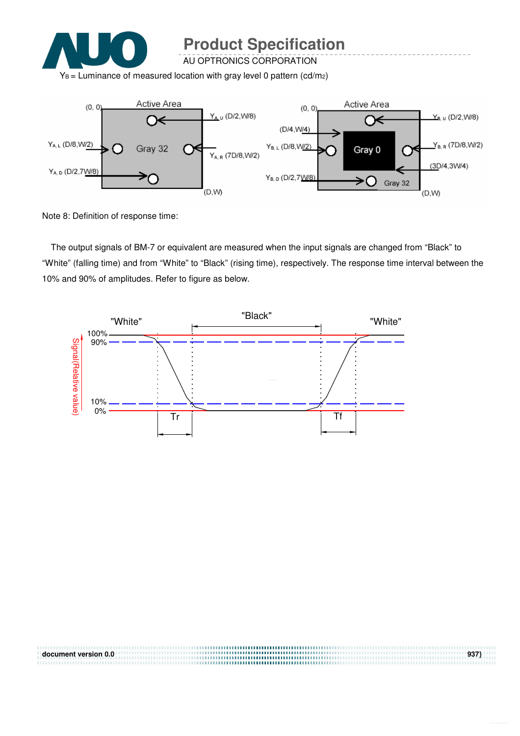

AU OPTRONICS CORPORATION

 $Y_B$  = Luminance of measured location with gray level 0 pattern (cd/m2)



Note 8: Definition of response time:

The output signals of BM-7 or equivalent are measured when the input signals are changed from "Black" to "White" (falling time) and from "White" to "Black" (rising time), respectively. The response time interval between the 10% and 90% of amplitudes. Refer to figure as below.



**document version 0.0** 937}<br> **a**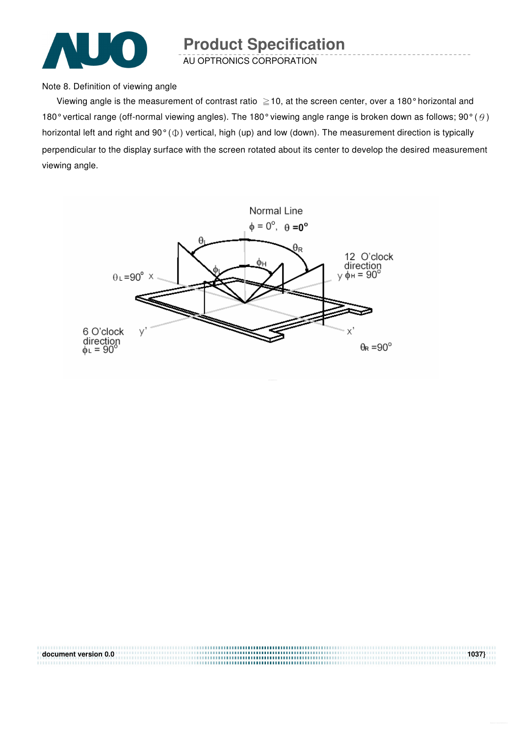

AU OPTRONICS CORPORATION

Note 8. Definition of viewing angle

Viewing angle is the measurement of contrast ratio  $\geq$  10, at the screen center, over a 180° horizontal and 180° vertical range (off-normal viewing angles). The 180° viewing angle range is broken down as follows; 90° ( $\theta$ ) horizontal left and right and  $90^{\circ}$  ( $\Phi$ ) vertical, high (up) and low (down). The measurement direction is typically perpendicular to the display surface with the screen rotated about its center to develop the desired measurement viewing angle.



| document version 0.0 | 1037 |
|----------------------|------|
|                      |      |
|                      |      |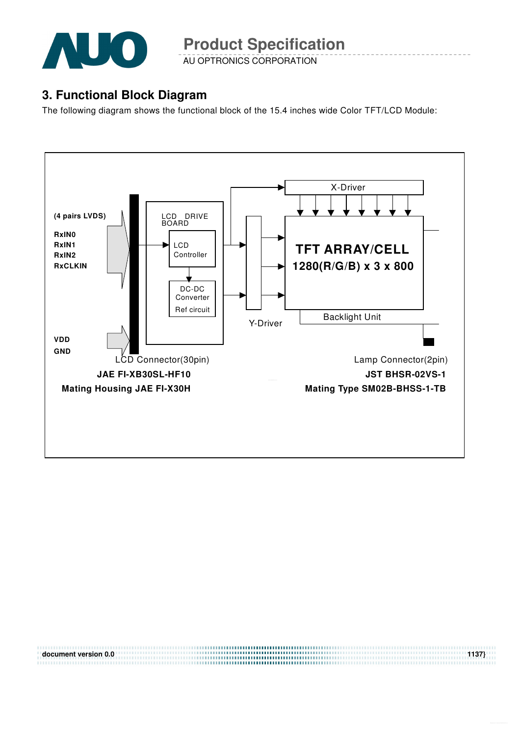

AU OPTRONICS CORPORATION

#### **3. Functional Block Diagram**

The following diagram shows the functional block of the 15.4 inches wide Color TFT/LCD Module:



**document version 0.0** 1137}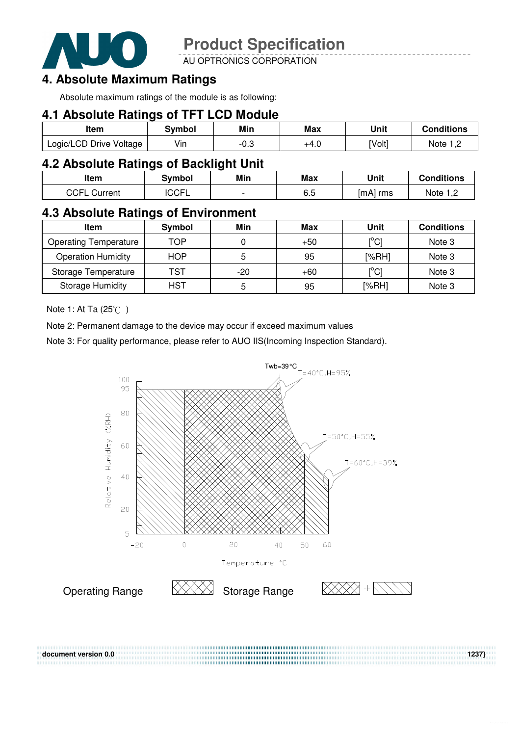

AU OPTRONICS CORPORATION

#### **4. Absolute Maximum Ratings**

Absolute maximum ratings of the module is as following:

#### **4.1 Absolute Ratings of TFT LCD Module**

| Item                    | Svmbol | Min  | Max  | Unit   | <b>Conditions</b> |
|-------------------------|--------|------|------|--------|-------------------|
| Logic/LCD Drive Voltage | Vin    | ن.∪- | +4.0 | [Volt] | Note              |

#### **4.2 Absolute Ratings of Backlight Unit**

| Item                   | Svmbol | Min                      | Max | Unit     | <b>Conditions</b> |
|------------------------|--------|--------------------------|-----|----------|-------------------|
| CCFL<br>Current<br>— ∟ | 'CCFL  | $\overline{\phantom{0}}$ | 6.5 | [mA] rms | Note 1 C          |

#### **4.3 Absolute Ratings of Environment**

| Item                         | Symbol     | Min   | Max   | Unit                                    | <b>Conditions</b> |
|------------------------------|------------|-------|-------|-----------------------------------------|-------------------|
| <b>Operating Temperature</b> | TOP        |       | $+50$ | $\mathsf{I}^\circ\mathsf{C} \mathsf{I}$ | Note 3            |
| <b>Operation Humidity</b>    | <b>HOP</b> | 5     | 95    | [%RH]                                   | Note 3            |
| Storage Temperature          | TST        | $-20$ | $+60$ | $\mathsf{I}^\circ\mathsf{C}\mathsf{I}$  | Note 3            |
| <b>Storage Humidity</b>      | <b>HST</b> | 5     | 95    | [%RH]                                   | Note 3            |

Note 1: At Ta  $(25^{\circ}\text{C})$ 

Note 2: Permanent damage to the device may occur if exceed maximum values

Note 3: For quality performance, please refer to AUO IIS(Incoming Inspection Standard).



,,,,,,,,,,,,,,,,,,,,,,,,,,,,,,,,,,,,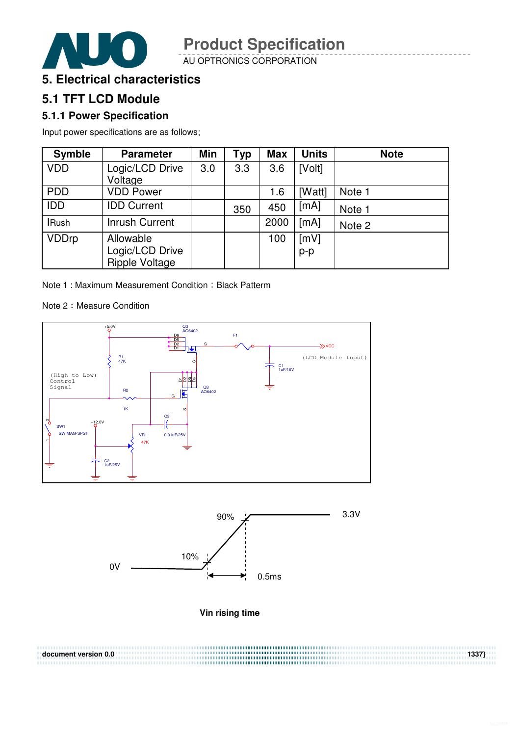

AU OPTRONICS CORPORATION



### **5.1 TFT LCD Module**

#### **5.1.1 Power Specification**

Input power specifications are as follows;

| <b>Symble</b> | <b>Parameter</b>                               | Min | <b>Typ</b> | <b>Max</b> | <b>Units</b>  | <b>Note</b> |
|---------------|------------------------------------------------|-----|------------|------------|---------------|-------------|
| <b>VDD</b>    | Logic/LCD Drive<br>Voltage                     | 3.0 | 3.3        | 3.6        | [Volt]        |             |
| <b>PDD</b>    | <b>VDD Power</b>                               |     |            | 1.6        | [Watt]        | Note 1      |
| <b>IDD</b>    | <b>IDD Current</b>                             |     | 350        | 450        | [mA]          | Note 1      |
| <b>IRush</b>  | <b>Inrush Current</b>                          |     |            | 2000       | [mA]          | Note 2      |
| <b>VDDrp</b>  | Allowable<br>Logic/LCD Drive<br>Ripple Voltage |     |            | 100        | [mV]<br>$p-p$ |             |

Note 1 : Maximum Measurement Condition : Black Patterm

#### Note 2: Measure Condition







| document version 0.0 | 1337} |
|----------------------|-------|
|                      |       |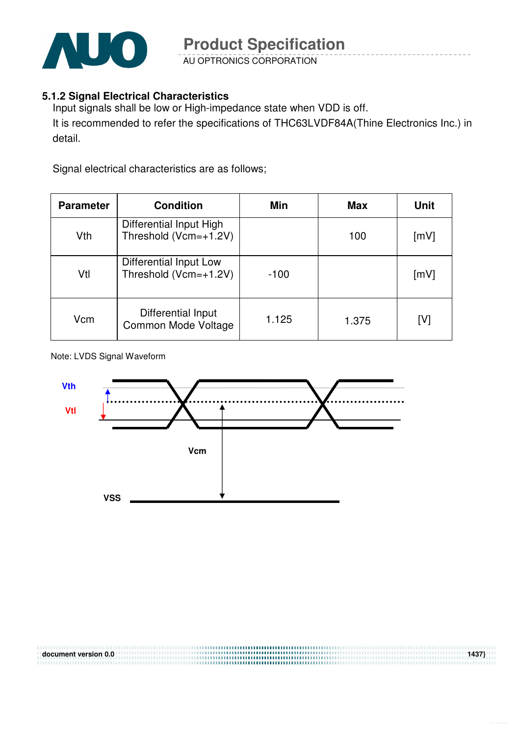

AU OPTRONICS CORPORATION

#### **5.1.2 Signal Electrical Characteristics**

Input signals shall be low or High-impedance state when VDD is off. It is recommended to refer the specifications of THC63LVDF84A(Thine Electronics Inc.) in detail.

Signal electrical characteristics are as follows;

| <b>Parameter</b> | <b>Condition</b>                                 | Min    | <b>Max</b> | <b>Unit</b> |
|------------------|--------------------------------------------------|--------|------------|-------------|
| Vth              | Differential Input High<br>Threshold (Vcm=+1.2V) |        | 100        | [mV]        |
| Vtl              | Differential Input Low<br>Threshold (Vcm=+1.2V)  | $-100$ |            | [mV]        |
| Vcm              | Differential Input<br>Common Mode Voltage        | 1.125  | 1.375      | [V]         |

Note: LVDS Signal Waveform

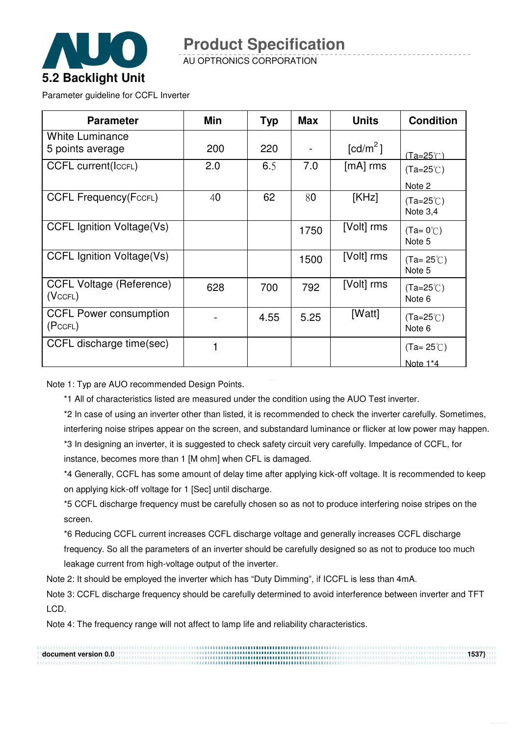

AU OPTRONICS CORPORATION

Parameter guideline for CCFL Inverter

| <b>Parameter</b>                           | Min | <b>Typ</b> | <b>Max</b> | <b>Units</b>           | <b>Condition</b>                 |
|--------------------------------------------|-----|------------|------------|------------------------|----------------------------------|
| <b>White Luminance</b><br>5 points average | 200 | 220        |            | $\lceil cd/m^2 \rceil$ | $(Ta=25^\circ C)$                |
| <b>CCFL current(ICCFL)</b>                 | 2.0 | 6.5        | 7.0        | $[mA]$ rms             | $(Ta=25^{\circ}C)$<br>Note 2     |
| <b>CCFL Frequency (FccFL)</b>              | 40  | 62         | 80         | [KHz]                  | $(Ta=25^{\circ}C)$<br>Note $3,4$ |
| <b>CCFL Ignition Voltage(Vs)</b>           |     |            | 1750       | [Volt] rms             | $(Ta=0^{\circ}C)$<br>Note 5      |
| <b>CCFL Ignition Voltage(Vs)</b>           |     |            | 1500       | [Volt] rms             | $(Ta=25^{\circ}C)$<br>Note 5     |
| <b>CCFL Voltage (Reference)</b><br>(VccFL) | 628 | 700        | 792        | [Volt] rms             | $(Ta=25^{\circ}C)$<br>Note 6     |
| <b>CCFL Power consumption</b><br>(PccFL)   |     | 4.55       | 5.25       | [Watt]                 | $(Ta=25^{\circ}C)$<br>Note 6     |
| CCFL discharge time(sec)                   | 1   |            |            |                        | $(Ta=25^{\circ}$ C)              |
|                                            |     |            |            |                        | Note 1*4                         |

Note 1: Typ are AUO recommended Design Points.

\*1 All of characteristics listed are measured under the condition using the AUO Test inverter.

\*2 In case of using an inverter other than listed, it is recommended to check the inverter carefully. Sometimes, interfering noise stripes appear on the screen, and substandard luminance or flicker at low power may happen. \*3 In designing an inverter, it is suggested to check safety circuit very carefully. Impedance of CCFL, for instance, becomes more than 1 [M ohm] when CFL is damaged.

\*4 Generally, CCFL has some amount of delay time after applying kick-off voltage. It is recommended to keep on applying kick-off voltage for 1 [Sec] until discharge.

\*5 CCFL discharge frequency must be carefully chosen so as not to produce interfering noise stripes on the screen.

\*6 Reducing CCFL current increases CCFL discharge voltage and generally increases CCFL discharge frequency. So all the parameters of an inverter should be carefully designed so as not to produce too much leakage current from high-voltage output of the inverter.

Note 2: It should be employed the inverter which has "Duty Dimming", if ICCFL is less than 4mA.

Note 3: CCFL discharge frequency should be carefully determined to avoid interference between inverter and TFT LCD.

Note 4: The frequency range will not affect to lamp life and reliability characteristics.

**document version 0.0 1537}**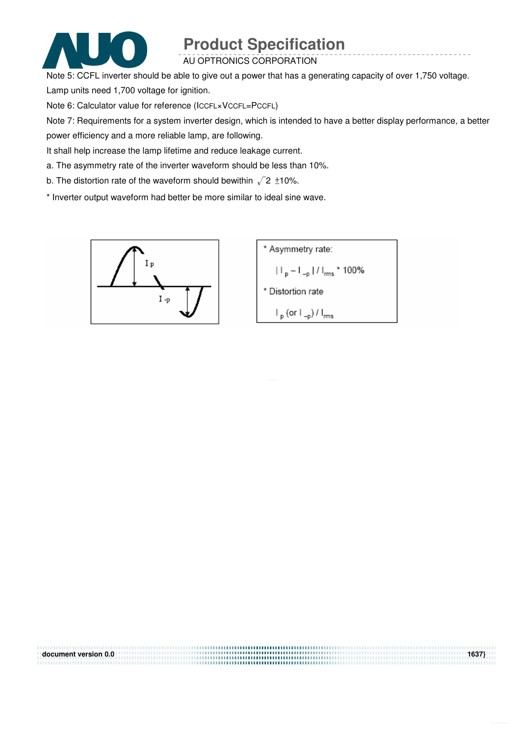

#### AU OPTRONICS CORPORATION

Note 5: CCFL inverter should be able to give out a power that has a generating capacity of over 1,750 voltage.

Lamp units need 1,700 voltage for ignition.

Note 6: Calculator value for reference (ICCFL×VCCFL=PCCFL)

Note 7: Requirements for a system inverter design, which is intended to have a better display performance, a better power efficiency and a more reliable lamp, are following.

It shall help increase the lamp lifetime and reduce leakage current.

a. The asymmetry rate of the inverter waveform should be less than 10%.

b. The distortion rate of the waveform should bewithin  $\sqrt{2} \pm 10\%$ .

\* Inverter output waveform had better be more similar to ideal sine wave.



| document version 0.0 | 1637) |
|----------------------|-------|
|                      |       |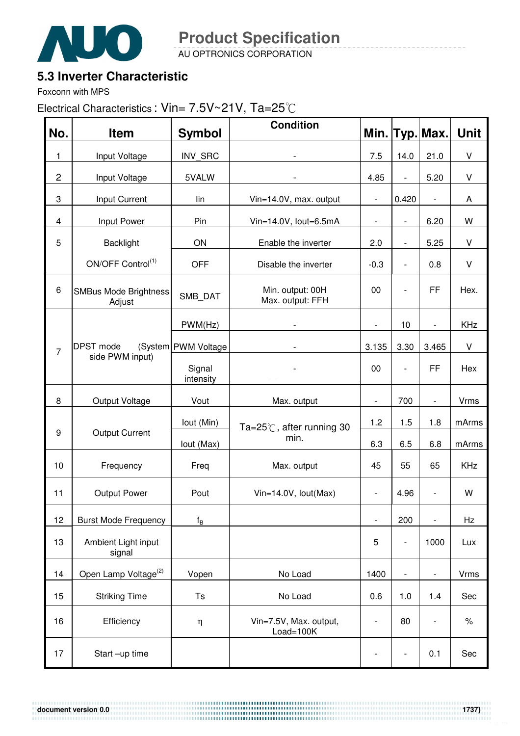

AU OPTRONICS CORPORATION **Product Specification** 

### **5.3 Inverter Characteristic**

Foxconn with MPS

Electrical Characteristics : Vin= 7.5V~21V, Ta=25°C

| No.            | <b>Item</b>                            | <b>Symbol</b>           | <b>Condition</b>                     |                              |                          | Min. Typ. Max.           | <b>Unit</b> |
|----------------|----------------------------------------|-------------------------|--------------------------------------|------------------------------|--------------------------|--------------------------|-------------|
| 1              | Input Voltage                          | INV_SRC                 |                                      | 7.5                          | 14.0                     | 21.0                     | V           |
| $\overline{c}$ | Input Voltage                          | 5VALW                   |                                      | 4.85                         | $\overline{\phantom{a}}$ | 5.20                     | V           |
| 3              | Input Current                          | lin                     | Vin=14.0V, max. output               | $\overline{\phantom{a}}$     | 0.420                    | $\overline{\phantom{a}}$ | A           |
| 4              | Input Power                            | Pin                     | Vin=14.0V, lout=6.5mA                | $\overline{\phantom{0}}$     | $\overline{\phantom{a}}$ | 6.20                     | W           |
| 5              | <b>Backlight</b>                       | ON                      | Enable the inverter                  | 2.0                          | $\overline{\phantom{a}}$ | 5.25                     | $\sf V$     |
|                | ON/OFF Control <sup>(1)</sup>          | <b>OFF</b>              | Disable the inverter                 | $-0.3$                       | $\overline{\phantom{a}}$ | 0.8                      | $\vee$      |
| 6              | <b>SMBus Mode Brightness</b><br>Adjust | SMB_DAT                 | Min. output: 00H<br>Max. output: FFH | 00                           | $\overline{\phantom{a}}$ | FF                       | Hex.        |
|                |                                        | PWM(Hz)                 |                                      | $\overline{\phantom{a}}$     | 10                       | $\overline{\phantom{a}}$ | KHz         |
| $\overline{7}$ | <b>DPST</b> mode                       | (System PWM Voltage     |                                      | 3.135                        | 3.30                     | 3.465                    | V           |
|                | side PWM input)                        | Signal<br>intensity     |                                      | 00                           | $\overline{\phantom{a}}$ | FF                       | Hex         |
| 8              | Output Voltage                         | Vout                    | Max. output                          | $\overline{\phantom{a}}$     | 700                      | $\blacksquare$           | Vrms        |
|                |                                        | lout (Min)              | Ta=25℃, after running 30             | 1.2                          | 1.5                      | 1.8                      | mArms       |
| 9              | <b>Output Current</b>                  | lout (Max)              | min.                                 | 6.3                          | 6.5                      | 6.8                      | mArms       |
| 10             | Frequency                              | Freq                    | Max. output                          | 45                           | 55                       | 65                       | KHz         |
| 11             | <b>Output Power</b>                    | Pout                    | Vin=14.0V, lout(Max)                 | $\qquad \qquad \blacksquare$ | 4.96                     | $\overline{\phantom{a}}$ | W           |
| 12             | <b>Burst Mode Frequency</b>            | $\mathsf{f}_\mathsf{B}$ |                                      | $\overline{\phantom{a}}$     | 200                      | $\overline{\phantom{0}}$ | Hz          |
| 13             | Ambient Light input<br>signal          |                         |                                      | 5                            | $\overline{\phantom{a}}$ | 1000                     | Lux         |
| 14             | Open Lamp Voltage <sup>(2)</sup>       | Vopen                   | No Load                              | 1400                         | $\overline{\phantom{a}}$ | $\overline{\phantom{a}}$ | Vrms        |
| 15             | <b>Striking Time</b>                   | Ts                      | No Load                              | 0.6                          | 1.0                      | 1.4                      | Sec         |
| 16             | Efficiency                             | $\eta$                  | Vin=7.5V, Max. output,<br>Load=100K  | $\overline{\phantom{0}}$     | 80                       | $\overline{\phantom{a}}$ | $\%$        |
| 17             | Start-up time                          |                         |                                      |                              |                          | 0.1                      | Sec         |

**document version 0.0 1737}**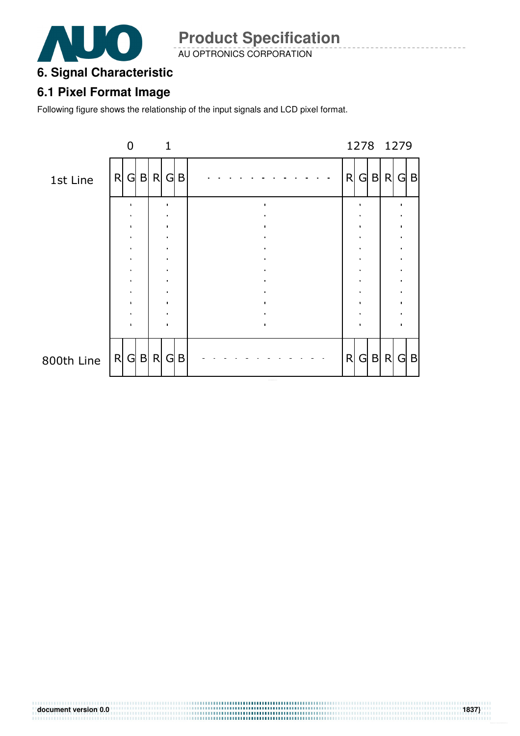

AU OPTRONICS CORPORATION

#### **6. Signal Characteristic**

#### **6.1 Pixel Format Image**

Following figure shows the relationship of the input signals and LCD pixel format.

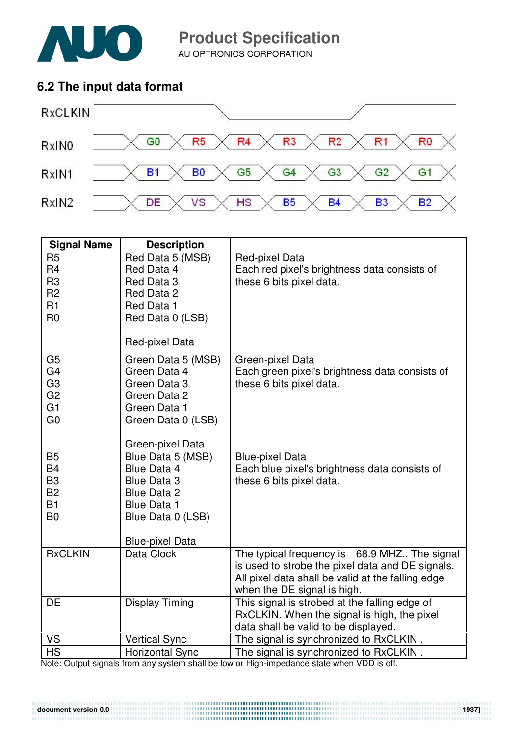

AU OPTRONICS CORPORATION

#### **6.2 The input data format**



| <b>Signal Name</b>               | <b>Description</b>                |                                                                                  |
|----------------------------------|-----------------------------------|----------------------------------------------------------------------------------|
| R <sub>5</sub><br>R <sub>4</sub> | Red Data 5 (MSB)<br>Red Data 4    | Red-pixel Data<br>Each red pixel's brightness data consists of                   |
| R <sub>3</sub>                   | Red Data 3                        | these 6 bits pixel data.                                                         |
| R <sub>2</sub><br>R1             | Red Data 2                        |                                                                                  |
| R <sub>0</sub>                   | Red Data 1<br>Red Data 0 (LSB)    |                                                                                  |
|                                  |                                   |                                                                                  |
|                                  | Red-pixel Data                    |                                                                                  |
| G <sub>5</sub>                   | Green Data 5 (MSB)                | Green-pixel Data                                                                 |
| G <sub>4</sub>                   | Green Data 4                      | Each green pixel's brightness data consists of                                   |
| G <sub>3</sub><br>G <sub>2</sub> | Green Data 3<br>Green Data 2      | these 6 bits pixel data.                                                         |
| G1                               | Green Data 1                      |                                                                                  |
| G <sub>0</sub>                   | Green Data 0 (LSB)                |                                                                                  |
|                                  |                                   |                                                                                  |
|                                  | Green-pixel Data                  |                                                                                  |
| <b>B5</b>                        | Blue Data 5 (MSB)                 | <b>Blue-pixel Data</b>                                                           |
| <b>B4</b><br>B <sub>3</sub>      | Blue Data 4<br><b>Blue Data 3</b> | Each blue pixel's brightness data consists of<br>these 6 bits pixel data.        |
| <b>B2</b>                        | Blue Data 2                       |                                                                                  |
| <b>B1</b>                        | <b>Blue Data 1</b>                |                                                                                  |
| B <sub>0</sub>                   | Blue Data 0 (LSB)                 |                                                                                  |
|                                  |                                   |                                                                                  |
|                                  | <b>Blue-pixel Data</b>            |                                                                                  |
| <b>RxCLKIN</b>                   | Data Clock                        | The typical frequency is 68.9 MHZ The signal                                     |
|                                  |                                   | is used to strobe the pixel data and DE signals.                                 |
|                                  |                                   | All pixel data shall be valid at the falling edge<br>when the DE signal is high. |
| <b>DE</b>                        | <b>Display Timing</b>             | This signal is strobed at the falling edge of                                    |
|                                  |                                   | RxCLKIN. When the signal is high, the pixel                                      |
|                                  |                                   | data shall be valid to be displayed.                                             |
| <b>VS</b>                        | <b>Vertical Sync</b>              | The signal is synchronized to RxCLKIN.                                           |
| <b>HS</b>                        | <b>Horizontal Sync</b>            | The signal is synchronized to RxCLKIN.                                           |

Note: Output signals from any system shall be low or High-impedance state when VDD is off.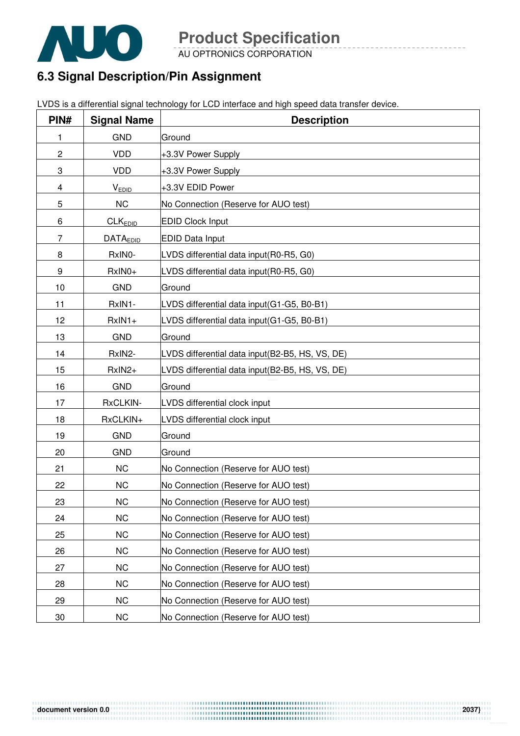

AU OPTRONICS CORPORATION

### **6.3 Signal Description/Pin Assignment**

|  | LVDS is a differential signal technology for LCD interface and high speed data transfer device. |
|--|-------------------------------------------------------------------------------------------------|
|  |                                                                                                 |

| PIN#           | <b>Signal Name</b> | <b>Description</b>                              |
|----------------|--------------------|-------------------------------------------------|
| 1              | <b>GND</b>         | Ground                                          |
| $\overline{c}$ | <b>VDD</b>         | +3.3V Power Supply                              |
| 3              | <b>VDD</b>         | +3.3V Power Supply                              |
| 4              | <b>VEDID</b>       | +3.3V EDID Power                                |
| 5              | <b>NC</b>          | No Connection (Reserve for AUO test)            |
| 6              | <b>CLKEDID</b>     | <b>EDID Clock Input</b>                         |
| 7              | <b>DATAEDID</b>    | <b>EDID Data Input</b>                          |
| 8              | RxIN0-             | LVDS differential data input(R0-R5, G0)         |
| 9              | RxIN0+             | LVDS differential data input(R0-R5, G0)         |
| 10             | <b>GND</b>         | Ground                                          |
| 11             | RxIN1-             | LVDS differential data input(G1-G5, B0-B1)      |
| 12             | $RxIN1+$           | LVDS differential data input(G1-G5, B0-B1)      |
| 13             | <b>GND</b>         | Ground                                          |
| 14             | RxIN2-             | LVDS differential data input(B2-B5, HS, VS, DE) |
| 15             | RxIN2+             | LVDS differential data input(B2-B5, HS, VS, DE) |
| 16             | <b>GND</b>         | Ground                                          |
| 17             | RxCLKIN-           | LVDS differential clock input                   |
| 18             | RxCLKIN+           | LVDS differential clock input                   |
| 19             | <b>GND</b>         | Ground                                          |
| 20             | <b>GND</b>         | Ground                                          |
| 21             | <b>NC</b>          | No Connection (Reserve for AUO test)            |
| 22             | <b>NC</b>          | No Connection (Reserve for AUO test)            |
| 23             | <b>NC</b>          | No Connection (Reserve for AUO test)            |
| 24             | <b>NC</b>          | No Connection (Reserve for AUO test)            |
| 25             | <b>NC</b>          | No Connection (Reserve for AUO test)            |
| 26             | <b>NC</b>          | No Connection (Reserve for AUO test)            |
| 27             | <b>NC</b>          | No Connection (Reserve for AUO test)            |
| 28             | <b>NC</b>          | No Connection (Reserve for AUO test)            |
| 29             | <b>NC</b>          | No Connection (Reserve for AUO test)            |
| 30             | <b>NC</b>          | No Connection (Reserve for AUO test)            |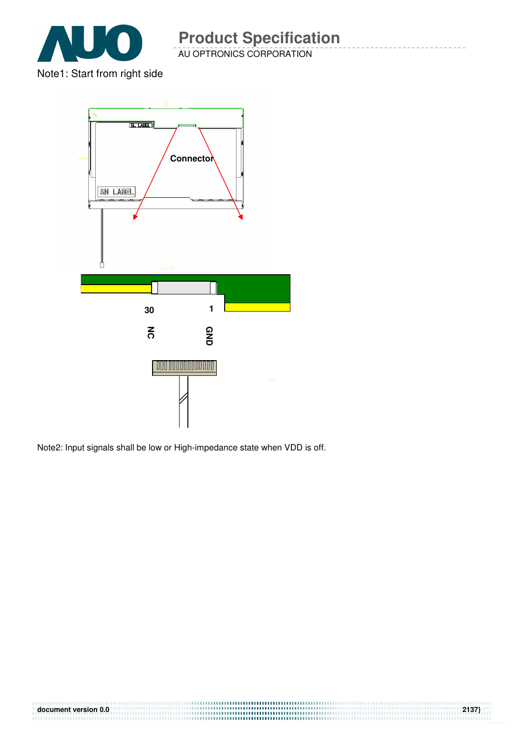

Note1: Start from right side



Note2: Input signals shall be low or High-impedance state when VDD is off.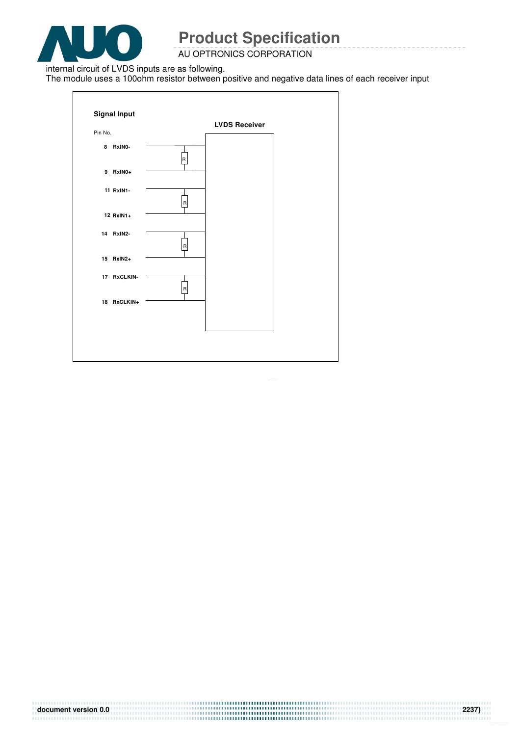

AU OPTRONICS CORPORATION

internal circuit of LVDS inputs are as following.

The module uses a 100ohm resistor between positive and negative data lines of each receiver input

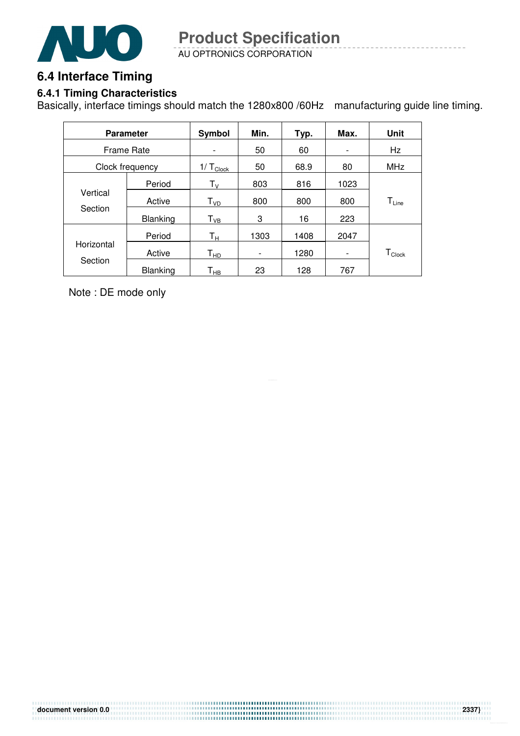

AU OPTRONICS CORPORATION **Product Specification** 

### **6.4 Interface Timing**

#### **6.4.1 Timing Characteristics**

Basically, interface timings should match the 1280x800 /60Hz manufacturing guide line timing.

| <b>Parameter</b>  |                 | Symbol                     | Min.                         | Typ. | Max.                     | Unit             |
|-------------------|-----------------|----------------------------|------------------------------|------|--------------------------|------------------|
| <b>Frame Rate</b> |                 | -                          | 50                           | 60   | $\overline{\phantom{a}}$ | Hz               |
|                   | Clock frequency | $1/\top_{Clock}$           | 50                           | 68.9 | 80                       | <b>MHz</b>       |
|                   | Period          | ${\sf T}_{\sf V}$          | 803                          | 816  | 1023                     |                  |
| Vertical          | Active          | T <sub>VD</sub>            | 800                          | 800  | 800                      | $T_{Line}$       |
| Section           | <b>Blanking</b> | $T_{VB}$                   | 3                            | 16   | 223                      |                  |
|                   | Period          | Tн                         | 1303                         | 1408 | 2047                     |                  |
| Horizontal        | Active          | $\mathsf{T}_{\mathsf{HD}}$ | $\qquad \qquad \blacksquare$ | 1280 | $\overline{\phantom{a}}$ | $T_{\sf{Clock}}$ |
| Section           | <b>Blanking</b> | Т <sub>нв</sub>            | 23                           | 128  | 767                      |                  |

Note : DE mode only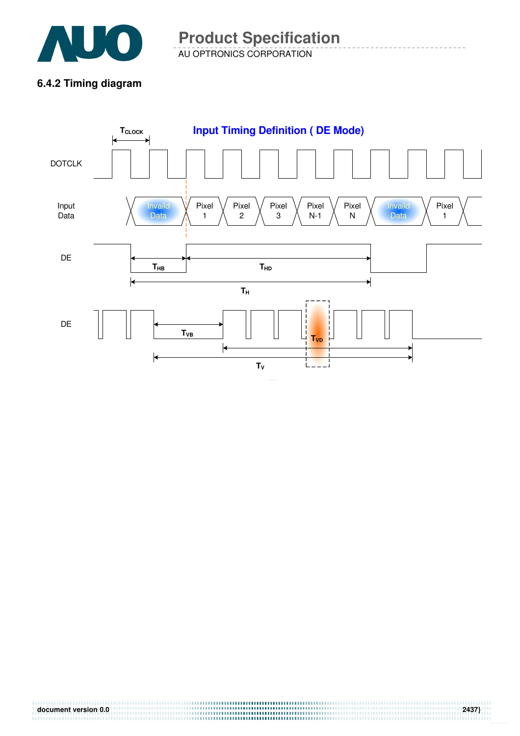

AU OPTRONICS CORPORATION **Product Specification** 

#### **6.4.2 Timing diagram**

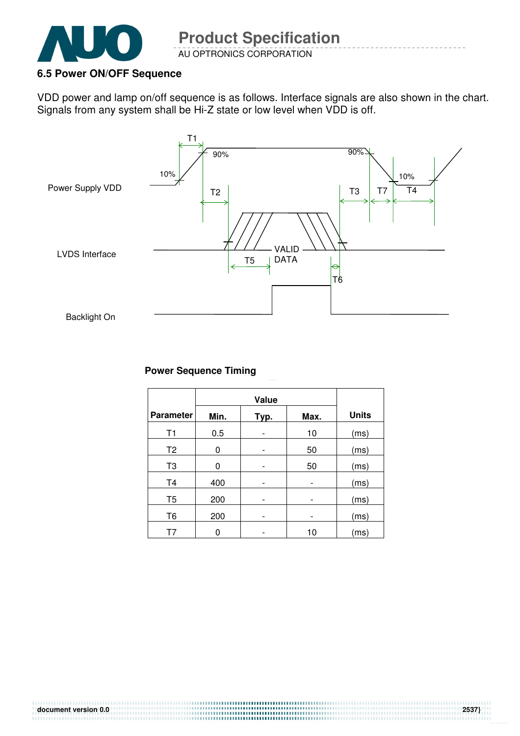

#### **6.5 Power ON/OFF Sequence**

VDD power and lamp on/off sequence is as follows. Interface signals are also shown in the chart. Signals from any system shall be Hi-Z state or low level when VDD is off.



#### **Power Sequence Timing**

| <b>Parameter</b> | Min. | Typ. | Max. | <b>Units</b> |
|------------------|------|------|------|--------------|
| T1               | 0.5  |      | 10   | (ms)         |
| T <sub>2</sub>   | 0    |      | 50   | (ms)         |
| T <sub>3</sub>   | 0    |      | 50   | (ms)         |
| T <sub>4</sub>   | 400  |      | -    | (ms)         |
| T <sub>5</sub>   | 200  |      |      | (ms)         |
| T <sub>6</sub>   | 200  |      |      | (ms)         |
| Т7               | 0    |      | 10   | (ms)         |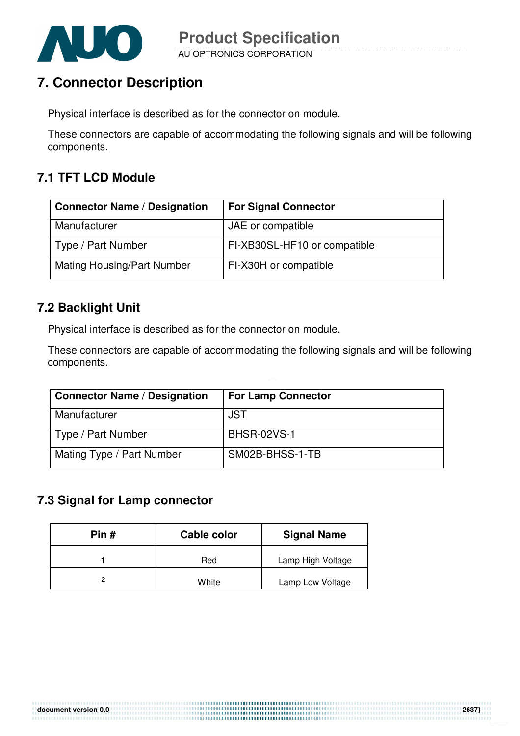

### **7. Connector Description**

Physical interface is described as for the connector on module.

These connectors are capable of accommodating the following signals and will be following components.

#### **7.1 TFT LCD Module**

| <b>Connector Name / Designation</b> | <b>For Signal Connector</b>  |
|-------------------------------------|------------------------------|
| Manufacturer                        | JAE or compatible            |
| Type / Part Number                  | FI-XB30SL-HF10 or compatible |
| <b>Mating Housing/Part Number</b>   | FI-X30H or compatible        |

#### **7.2 Backlight Unit**

Physical interface is described as for the connector on module.

These connectors are capable of accommodating the following signals and will be following components.

> ,,,,,,,,,,,,,,,,,,,,,,,,,,,,,,,,,,

| <b>Connector Name / Designation</b> | <b>For Lamp Connector</b> |
|-------------------------------------|---------------------------|
| Manufacturer                        | <b>JST</b>                |
| Type / Part Number                  | <b>BHSR-02VS-1</b>        |
| Mating Type / Part Number           | SM02B-BHSS-1-TB           |

#### **7.3 Signal for Lamp connector**

| Pin # | Cable color | <b>Signal Name</b> |
|-------|-------------|--------------------|
|       | Red         | Lamp High Voltage  |
|       | White       | Lamp Low Voltage   |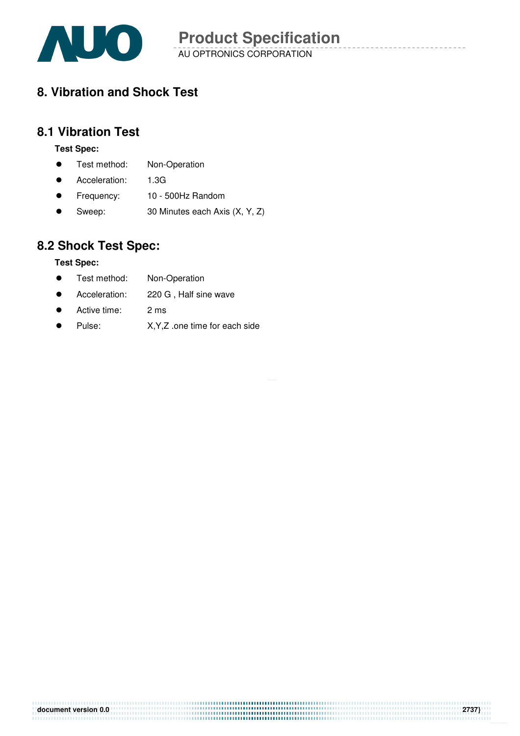

AU OPTRONICS CORPORATION **Product Specification** 

### **8. Vibration and Shock Test**

#### **8.1 Vibration Test**

#### **Test Spec:**

- **•** Test method: Non-Operation
- Acceleration: 1.3G
- Frequency: 10 500Hz Random
- Sweep: 30 Minutes each Axis (X, Y, Z)

### **8.2 Shock Test Spec:**

#### **Test Spec:**

- **•** Test method: Non-Operation
- Acceleration: 220 G , Half sine wave
- Active time: 2 ms
- Pulse: X, Y, Z .one time for each side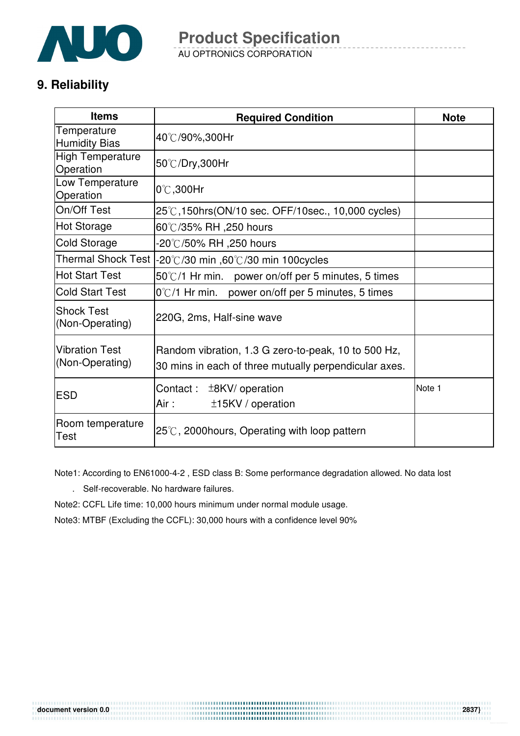

AU OPTRONICS CORPORATION **Product Specification** 

### **9. Reliability**

| <b>Items</b>                             | <b>Required Condition</b>                                                                                    | <b>Note</b> |
|------------------------------------------|--------------------------------------------------------------------------------------------------------------|-------------|
| Temperature<br><b>Humidity Bias</b>      | 40℃/90%,300Hr                                                                                                |             |
| <b>High Temperature</b><br>Operation     | 50°C/Dry,300Hr                                                                                               |             |
| Low Temperature<br>Operation             | $0^{\circ}$ C,300Hr                                                                                          |             |
| On/Off Test                              | 25℃,150hrs(ON/10 sec. OFF/10sec., 10,000 cycles)                                                             |             |
| <b>Hot Storage</b>                       | 60℃/35% RH ,250 hours                                                                                        |             |
| Cold Storage                             | -20℃/50% RH ,250 hours                                                                                       |             |
|                                          | Thermal Shock Test  -20℃/30 min ,60℃/30 min 100cycles                                                        |             |
| <b>Hot Start Test</b>                    | $50^{\circ}$ C/1 Hr min. power on/off per 5 minutes, 5 times                                                 |             |
| <b>Cold Start Test</b>                   | 0°C/1 Hr min. power on/off per 5 minutes, 5 times                                                            |             |
| <b>Shock Test</b><br>(Non-Operating)     | 220G, 2ms, Half-sine wave                                                                                    |             |
| <b>Vibration Test</b><br>(Non-Operating) | Random vibration, 1.3 G zero-to-peak, 10 to 500 Hz,<br>30 mins in each of three mutually perpendicular axes. |             |
| <b>ESD</b>                               | Contact: $±8KV/$ operation<br>Air :<br>±15KV / operation                                                     | Note 1      |
| Room temperature<br>Test                 | $25^{\circ}$ C, 2000 hours, Operating with loop pattern                                                      |             |

Note1: According to EN61000-4-2 , ESD class B: Some performance degradation allowed. No data lost

. Self-recoverable. No hardware failures.

Note2: CCFL Life time: 10,000 hours minimum under normal module usage.

Note3: MTBF (Excluding the CCFL): 30,000 hours with a confidence level 90%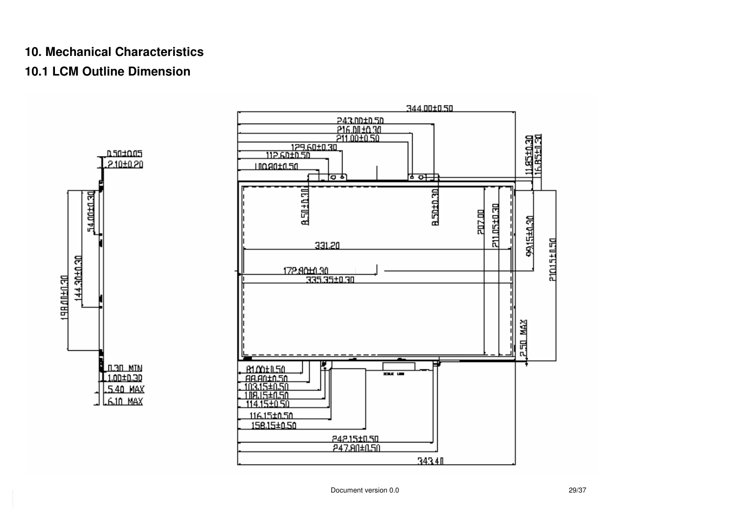# **10. Mechanical Characteristics**

### **10.1 LCM Outline Dimension**



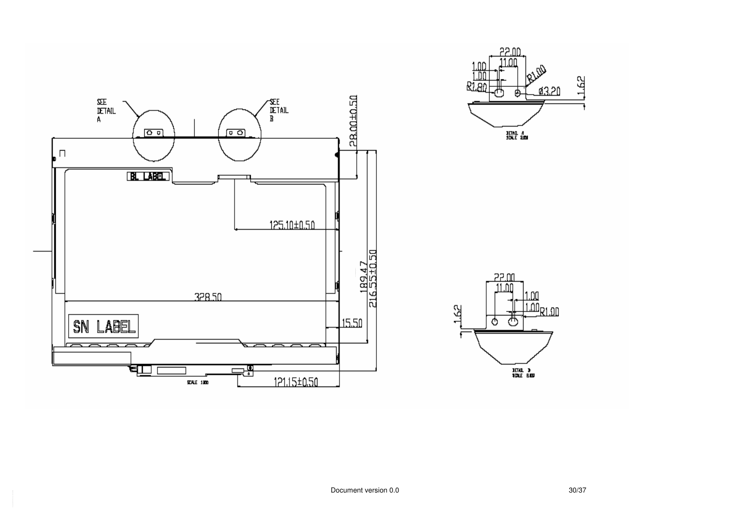



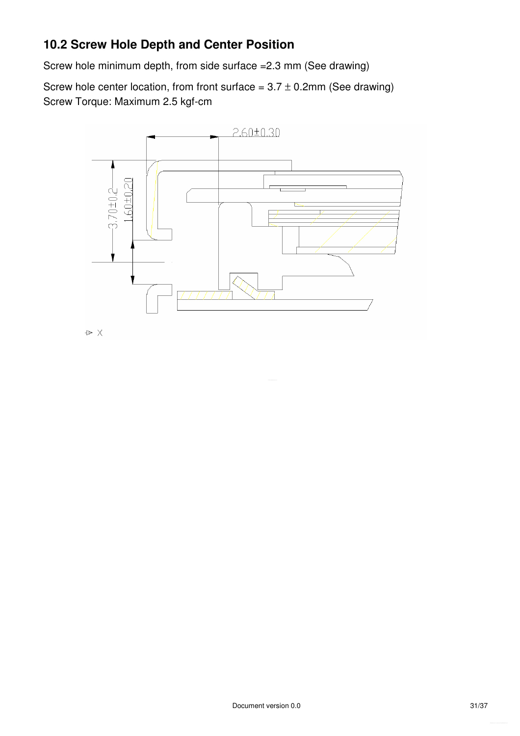### **10.2 Screw Hole Depth and Center Position**

Screw hole minimum depth, from side surface =2.3 mm (See drawing)

Screw hole center location, from front surface =  $3.7 \pm 0.2$ mm (See drawing) Screw Torque: Maximum 2.5 kgf-cm

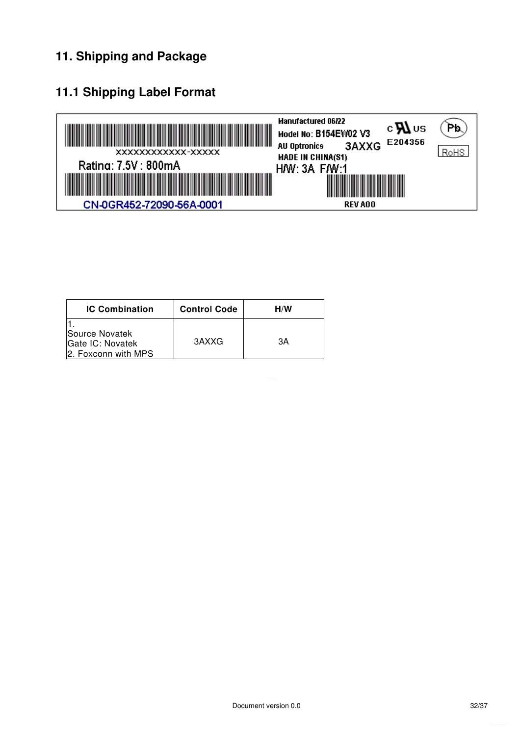### **11. Shipping and Package**

### **11.1 Shipping Label Format**



| <b>IC Combination</b>                                            | <b>Control Code</b> | H/W |
|------------------------------------------------------------------|---------------------|-----|
| <b>Source Novatek</b><br>Gate IC: Novatek<br>2. Foxconn with MPS | 3AXXG               | ЗΑ  |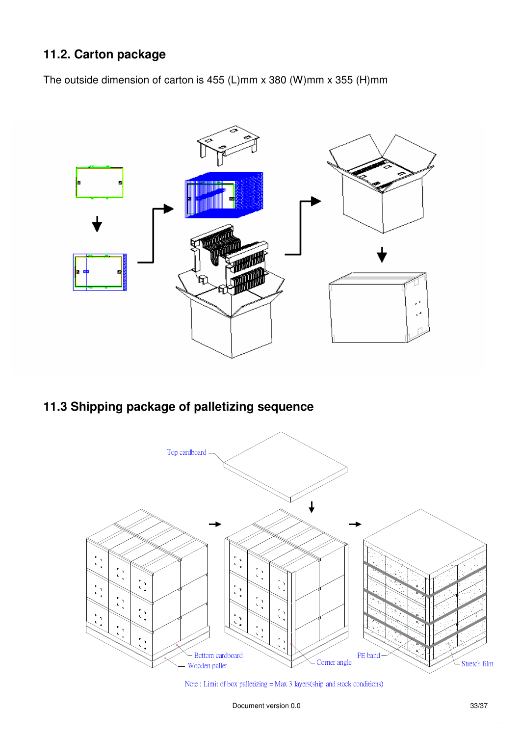### **11.2. Carton package**

The outside dimension of carton is 455 (L)mm x 380 (W)mm x 355 (H)mm



**11.3 Shipping package of palletizing sequence** 



Note: Limit of box palletizing = Max 3 layers(ship and stock conditions)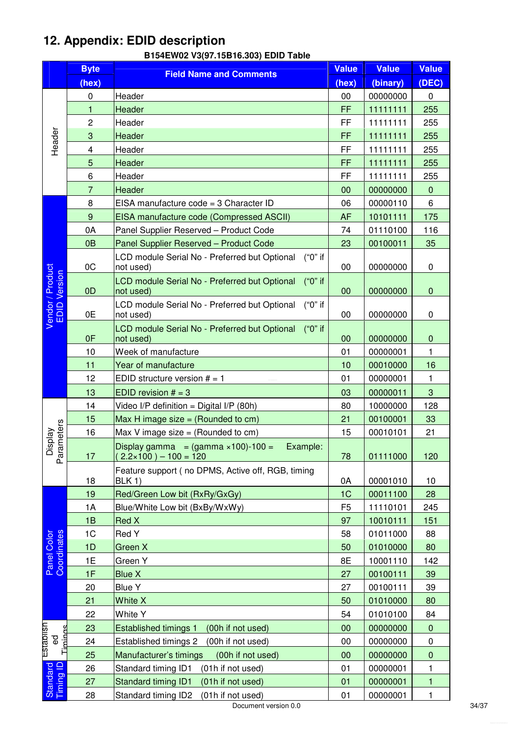### **12. Appendix: EDID description**

| (DEC)<br>(hex)<br>(hex)<br>(binary)<br>00000000<br>0<br>Header<br>00<br>0<br>FF<br>$\mathbf{1}$<br>Header<br>11111111<br>255<br>$\overline{c}$<br>FF<br>11111111<br>Header<br>255<br>Header<br>3<br>FF<br>Header<br>11111111<br>255<br>$\overline{\mathbf{4}}$<br>FF<br>Header<br>11111111<br>255<br>5<br>Header<br>FF<br>11111111<br>255<br>6<br>FF<br>Header<br>11111111<br>255<br>$\overline{7}$<br>Header<br>00000000<br>$\pmb{0}$<br>00<br>EISA manufacture code = 3 Character ID<br>00000110<br>6<br>8<br>06<br>9<br>EISA manufacture code (Compressed ASCII)<br><b>AF</b><br>10101111<br>175<br>0A<br>Panel Supplier Reserved - Product Code<br>01110100<br>116<br>74<br>0 <sub>B</sub><br>Panel Supplier Reserved - Product Code<br>23<br>00100011<br>35<br>("0" if<br>LCD module Serial No - Preferred but Optional<br>0C<br>not used)<br>00<br>00000000<br>0<br>Vendor / Product<br>EDID Version<br>LCD module Serial No - Preferred but Optional<br>("0" if<br>0 <sub>D</sub><br>00<br>$\pmb{0}$<br>not used)<br>00000000<br>("0" if<br>LCD module Serial No - Preferred but Optional<br>0E<br>00<br>00000000<br>0<br>not used)<br>LCD module Serial No - Preferred but Optional<br>("0" if<br>0F<br>not used)<br>00<br>00000000<br>$\pmb{0}$<br>$\mathbf{1}$<br>10<br>Week of manufacture<br>01<br>00000001<br>Year of manufacture<br>00010000<br>16<br>11<br>10<br>12<br>EDID structure version $# = 1$<br>01<br>00000001<br>$\mathbf{1}$<br>3<br>13<br>EDID revision $# = 3$<br>00000011<br>03<br>14<br>10000000<br>128<br>Video I/P definition = Digital I/P (80h)<br>80<br>Max H image size $=$ (Rounded to cm)<br>00100001<br>33<br>15<br>21<br>Parameters<br><b>Display</b><br>16<br>00010101<br>Max V image size = $(Rounded to cm)$<br>21<br>15<br>Display gamma = $(gamma \times 100) - 100 =$<br>Example:<br>$(2.2 \times 100) - 100 = 120$<br>120<br>17<br>78<br>01111000<br>Feature support (no DPMS, Active off, RGB, timing<br>0A<br>00001010<br>18<br>BLK 1)<br>10<br>19<br>Red/Green Low bit (RxRy/GxGy)<br>1C<br>00011100<br>28<br>1A<br>Blue/White Low bit (BxBy/WxWy)<br>F <sub>5</sub><br>11110101<br>245<br>1B<br>Red X<br>97<br>10010111<br>151<br>Panel Color<br>Coordinates<br>1 <sup>C</sup><br>01011000<br>Red Y<br>58<br>88<br>1D<br>Green X<br>50<br>01010000<br>80<br>1E<br>Green Y<br>8E<br>10001110<br>142<br>1F<br><b>Blue X</b><br>27<br>00100111<br>39<br><b>Blue Y</b><br>00100111<br>20<br>27<br>39<br>White X<br>01010000<br>21<br>50<br>80<br>22<br>White Y<br>54<br>01010100<br>84<br>Establish<br>Timings<br>23<br><b>Established timings 1</b><br>00000000<br>(00h if not used)<br>00<br>$\mathbf 0$<br>င္ၿ<br>24<br>Established timings 2<br>(00h if not used)<br>$\pmb{0}$<br>00<br>00000000<br>Manufacturer's timings<br>(00h if not used)<br>00000000<br>25<br>00<br>$\mathbf 0$<br>Timing ID<br>Standard<br>Standard timing ID1<br>(01h if not used)<br>00000001<br>26<br>01<br>1<br>Standard timing ID1<br>27<br>(01h if not used)<br>01<br>00000001<br>1<br>Standard timing ID2<br>00000001<br>28<br>(01h if not used)<br>01<br>1 | <b>Byte</b> | <b>Field Name and Comments</b> | Value | <b>Value</b> | <b>Value</b> |
|-----------------------------------------------------------------------------------------------------------------------------------------------------------------------------------------------------------------------------------------------------------------------------------------------------------------------------------------------------------------------------------------------------------------------------------------------------------------------------------------------------------------------------------------------------------------------------------------------------------------------------------------------------------------------------------------------------------------------------------------------------------------------------------------------------------------------------------------------------------------------------------------------------------------------------------------------------------------------------------------------------------------------------------------------------------------------------------------------------------------------------------------------------------------------------------------------------------------------------------------------------------------------------------------------------------------------------------------------------------------------------------------------------------------------------------------------------------------------------------------------------------------------------------------------------------------------------------------------------------------------------------------------------------------------------------------------------------------------------------------------------------------------------------------------------------------------------------------------------------------------------------------------------------------------------------------------------------------------------------------------------------------------------------------------------------------------------------------------------------------------------------------------------------------------------------------------------------------------------------------------------------------------------------------------------------------------------------------------------------------------------------------------------------------------------------------------------------------------------------------------------------------------------------------------------------------------------------------------------------------------------------------------------------------------------------------------------------------------------------------------------------------------------------------------------------------------------------------------------------------------------------------------------------------------------------------------------------------------------------------------------------------------------------------------------------------------------------------------|-------------|--------------------------------|-------|--------------|--------------|
|                                                                                                                                                                                                                                                                                                                                                                                                                                                                                                                                                                                                                                                                                                                                                                                                                                                                                                                                                                                                                                                                                                                                                                                                                                                                                                                                                                                                                                                                                                                                                                                                                                                                                                                                                                                                                                                                                                                                                                                                                                                                                                                                                                                                                                                                                                                                                                                                                                                                                                                                                                                                                                                                                                                                                                                                                                                                                                                                                                                                                                                                                               |             |                                |       |              |              |
|                                                                                                                                                                                                                                                                                                                                                                                                                                                                                                                                                                                                                                                                                                                                                                                                                                                                                                                                                                                                                                                                                                                                                                                                                                                                                                                                                                                                                                                                                                                                                                                                                                                                                                                                                                                                                                                                                                                                                                                                                                                                                                                                                                                                                                                                                                                                                                                                                                                                                                                                                                                                                                                                                                                                                                                                                                                                                                                                                                                                                                                                                               |             |                                |       |              |              |
|                                                                                                                                                                                                                                                                                                                                                                                                                                                                                                                                                                                                                                                                                                                                                                                                                                                                                                                                                                                                                                                                                                                                                                                                                                                                                                                                                                                                                                                                                                                                                                                                                                                                                                                                                                                                                                                                                                                                                                                                                                                                                                                                                                                                                                                                                                                                                                                                                                                                                                                                                                                                                                                                                                                                                                                                                                                                                                                                                                                                                                                                                               |             |                                |       |              |              |
|                                                                                                                                                                                                                                                                                                                                                                                                                                                                                                                                                                                                                                                                                                                                                                                                                                                                                                                                                                                                                                                                                                                                                                                                                                                                                                                                                                                                                                                                                                                                                                                                                                                                                                                                                                                                                                                                                                                                                                                                                                                                                                                                                                                                                                                                                                                                                                                                                                                                                                                                                                                                                                                                                                                                                                                                                                                                                                                                                                                                                                                                                               |             |                                |       |              |              |
|                                                                                                                                                                                                                                                                                                                                                                                                                                                                                                                                                                                                                                                                                                                                                                                                                                                                                                                                                                                                                                                                                                                                                                                                                                                                                                                                                                                                                                                                                                                                                                                                                                                                                                                                                                                                                                                                                                                                                                                                                                                                                                                                                                                                                                                                                                                                                                                                                                                                                                                                                                                                                                                                                                                                                                                                                                                                                                                                                                                                                                                                                               |             |                                |       |              |              |
|                                                                                                                                                                                                                                                                                                                                                                                                                                                                                                                                                                                                                                                                                                                                                                                                                                                                                                                                                                                                                                                                                                                                                                                                                                                                                                                                                                                                                                                                                                                                                                                                                                                                                                                                                                                                                                                                                                                                                                                                                                                                                                                                                                                                                                                                                                                                                                                                                                                                                                                                                                                                                                                                                                                                                                                                                                                                                                                                                                                                                                                                                               |             |                                |       |              |              |
|                                                                                                                                                                                                                                                                                                                                                                                                                                                                                                                                                                                                                                                                                                                                                                                                                                                                                                                                                                                                                                                                                                                                                                                                                                                                                                                                                                                                                                                                                                                                                                                                                                                                                                                                                                                                                                                                                                                                                                                                                                                                                                                                                                                                                                                                                                                                                                                                                                                                                                                                                                                                                                                                                                                                                                                                                                                                                                                                                                                                                                                                                               |             |                                |       |              |              |
|                                                                                                                                                                                                                                                                                                                                                                                                                                                                                                                                                                                                                                                                                                                                                                                                                                                                                                                                                                                                                                                                                                                                                                                                                                                                                                                                                                                                                                                                                                                                                                                                                                                                                                                                                                                                                                                                                                                                                                                                                                                                                                                                                                                                                                                                                                                                                                                                                                                                                                                                                                                                                                                                                                                                                                                                                                                                                                                                                                                                                                                                                               |             |                                |       |              |              |
|                                                                                                                                                                                                                                                                                                                                                                                                                                                                                                                                                                                                                                                                                                                                                                                                                                                                                                                                                                                                                                                                                                                                                                                                                                                                                                                                                                                                                                                                                                                                                                                                                                                                                                                                                                                                                                                                                                                                                                                                                                                                                                                                                                                                                                                                                                                                                                                                                                                                                                                                                                                                                                                                                                                                                                                                                                                                                                                                                                                                                                                                                               |             |                                |       |              |              |
|                                                                                                                                                                                                                                                                                                                                                                                                                                                                                                                                                                                                                                                                                                                                                                                                                                                                                                                                                                                                                                                                                                                                                                                                                                                                                                                                                                                                                                                                                                                                                                                                                                                                                                                                                                                                                                                                                                                                                                                                                                                                                                                                                                                                                                                                                                                                                                                                                                                                                                                                                                                                                                                                                                                                                                                                                                                                                                                                                                                                                                                                                               |             |                                |       |              |              |
|                                                                                                                                                                                                                                                                                                                                                                                                                                                                                                                                                                                                                                                                                                                                                                                                                                                                                                                                                                                                                                                                                                                                                                                                                                                                                                                                                                                                                                                                                                                                                                                                                                                                                                                                                                                                                                                                                                                                                                                                                                                                                                                                                                                                                                                                                                                                                                                                                                                                                                                                                                                                                                                                                                                                                                                                                                                                                                                                                                                                                                                                                               |             |                                |       |              |              |
|                                                                                                                                                                                                                                                                                                                                                                                                                                                                                                                                                                                                                                                                                                                                                                                                                                                                                                                                                                                                                                                                                                                                                                                                                                                                                                                                                                                                                                                                                                                                                                                                                                                                                                                                                                                                                                                                                                                                                                                                                                                                                                                                                                                                                                                                                                                                                                                                                                                                                                                                                                                                                                                                                                                                                                                                                                                                                                                                                                                                                                                                                               |             |                                |       |              |              |
|                                                                                                                                                                                                                                                                                                                                                                                                                                                                                                                                                                                                                                                                                                                                                                                                                                                                                                                                                                                                                                                                                                                                                                                                                                                                                                                                                                                                                                                                                                                                                                                                                                                                                                                                                                                                                                                                                                                                                                                                                                                                                                                                                                                                                                                                                                                                                                                                                                                                                                                                                                                                                                                                                                                                                                                                                                                                                                                                                                                                                                                                                               |             |                                |       |              |              |
|                                                                                                                                                                                                                                                                                                                                                                                                                                                                                                                                                                                                                                                                                                                                                                                                                                                                                                                                                                                                                                                                                                                                                                                                                                                                                                                                                                                                                                                                                                                                                                                                                                                                                                                                                                                                                                                                                                                                                                                                                                                                                                                                                                                                                                                                                                                                                                                                                                                                                                                                                                                                                                                                                                                                                                                                                                                                                                                                                                                                                                                                                               |             |                                |       |              |              |
|                                                                                                                                                                                                                                                                                                                                                                                                                                                                                                                                                                                                                                                                                                                                                                                                                                                                                                                                                                                                                                                                                                                                                                                                                                                                                                                                                                                                                                                                                                                                                                                                                                                                                                                                                                                                                                                                                                                                                                                                                                                                                                                                                                                                                                                                                                                                                                                                                                                                                                                                                                                                                                                                                                                                                                                                                                                                                                                                                                                                                                                                                               |             |                                |       |              |              |
|                                                                                                                                                                                                                                                                                                                                                                                                                                                                                                                                                                                                                                                                                                                                                                                                                                                                                                                                                                                                                                                                                                                                                                                                                                                                                                                                                                                                                                                                                                                                                                                                                                                                                                                                                                                                                                                                                                                                                                                                                                                                                                                                                                                                                                                                                                                                                                                                                                                                                                                                                                                                                                                                                                                                                                                                                                                                                                                                                                                                                                                                                               |             |                                |       |              |              |
|                                                                                                                                                                                                                                                                                                                                                                                                                                                                                                                                                                                                                                                                                                                                                                                                                                                                                                                                                                                                                                                                                                                                                                                                                                                                                                                                                                                                                                                                                                                                                                                                                                                                                                                                                                                                                                                                                                                                                                                                                                                                                                                                                                                                                                                                                                                                                                                                                                                                                                                                                                                                                                                                                                                                                                                                                                                                                                                                                                                                                                                                                               |             |                                |       |              |              |
|                                                                                                                                                                                                                                                                                                                                                                                                                                                                                                                                                                                                                                                                                                                                                                                                                                                                                                                                                                                                                                                                                                                                                                                                                                                                                                                                                                                                                                                                                                                                                                                                                                                                                                                                                                                                                                                                                                                                                                                                                                                                                                                                                                                                                                                                                                                                                                                                                                                                                                                                                                                                                                                                                                                                                                                                                                                                                                                                                                                                                                                                                               |             |                                |       |              |              |
|                                                                                                                                                                                                                                                                                                                                                                                                                                                                                                                                                                                                                                                                                                                                                                                                                                                                                                                                                                                                                                                                                                                                                                                                                                                                                                                                                                                                                                                                                                                                                                                                                                                                                                                                                                                                                                                                                                                                                                                                                                                                                                                                                                                                                                                                                                                                                                                                                                                                                                                                                                                                                                                                                                                                                                                                                                                                                                                                                                                                                                                                                               |             |                                |       |              |              |
|                                                                                                                                                                                                                                                                                                                                                                                                                                                                                                                                                                                                                                                                                                                                                                                                                                                                                                                                                                                                                                                                                                                                                                                                                                                                                                                                                                                                                                                                                                                                                                                                                                                                                                                                                                                                                                                                                                                                                                                                                                                                                                                                                                                                                                                                                                                                                                                                                                                                                                                                                                                                                                                                                                                                                                                                                                                                                                                                                                                                                                                                                               |             |                                |       |              |              |
|                                                                                                                                                                                                                                                                                                                                                                                                                                                                                                                                                                                                                                                                                                                                                                                                                                                                                                                                                                                                                                                                                                                                                                                                                                                                                                                                                                                                                                                                                                                                                                                                                                                                                                                                                                                                                                                                                                                                                                                                                                                                                                                                                                                                                                                                                                                                                                                                                                                                                                                                                                                                                                                                                                                                                                                                                                                                                                                                                                                                                                                                                               |             |                                |       |              |              |
|                                                                                                                                                                                                                                                                                                                                                                                                                                                                                                                                                                                                                                                                                                                                                                                                                                                                                                                                                                                                                                                                                                                                                                                                                                                                                                                                                                                                                                                                                                                                                                                                                                                                                                                                                                                                                                                                                                                                                                                                                                                                                                                                                                                                                                                                                                                                                                                                                                                                                                                                                                                                                                                                                                                                                                                                                                                                                                                                                                                                                                                                                               |             |                                |       |              |              |
|                                                                                                                                                                                                                                                                                                                                                                                                                                                                                                                                                                                                                                                                                                                                                                                                                                                                                                                                                                                                                                                                                                                                                                                                                                                                                                                                                                                                                                                                                                                                                                                                                                                                                                                                                                                                                                                                                                                                                                                                                                                                                                                                                                                                                                                                                                                                                                                                                                                                                                                                                                                                                                                                                                                                                                                                                                                                                                                                                                                                                                                                                               |             |                                |       |              |              |
|                                                                                                                                                                                                                                                                                                                                                                                                                                                                                                                                                                                                                                                                                                                                                                                                                                                                                                                                                                                                                                                                                                                                                                                                                                                                                                                                                                                                                                                                                                                                                                                                                                                                                                                                                                                                                                                                                                                                                                                                                                                                                                                                                                                                                                                                                                                                                                                                                                                                                                                                                                                                                                                                                                                                                                                                                                                                                                                                                                                                                                                                                               |             |                                |       |              |              |
|                                                                                                                                                                                                                                                                                                                                                                                                                                                                                                                                                                                                                                                                                                                                                                                                                                                                                                                                                                                                                                                                                                                                                                                                                                                                                                                                                                                                                                                                                                                                                                                                                                                                                                                                                                                                                                                                                                                                                                                                                                                                                                                                                                                                                                                                                                                                                                                                                                                                                                                                                                                                                                                                                                                                                                                                                                                                                                                                                                                                                                                                                               |             |                                |       |              |              |
|                                                                                                                                                                                                                                                                                                                                                                                                                                                                                                                                                                                                                                                                                                                                                                                                                                                                                                                                                                                                                                                                                                                                                                                                                                                                                                                                                                                                                                                                                                                                                                                                                                                                                                                                                                                                                                                                                                                                                                                                                                                                                                                                                                                                                                                                                                                                                                                                                                                                                                                                                                                                                                                                                                                                                                                                                                                                                                                                                                                                                                                                                               |             |                                |       |              |              |
|                                                                                                                                                                                                                                                                                                                                                                                                                                                                                                                                                                                                                                                                                                                                                                                                                                                                                                                                                                                                                                                                                                                                                                                                                                                                                                                                                                                                                                                                                                                                                                                                                                                                                                                                                                                                                                                                                                                                                                                                                                                                                                                                                                                                                                                                                                                                                                                                                                                                                                                                                                                                                                                                                                                                                                                                                                                                                                                                                                                                                                                                                               |             |                                |       |              |              |
|                                                                                                                                                                                                                                                                                                                                                                                                                                                                                                                                                                                                                                                                                                                                                                                                                                                                                                                                                                                                                                                                                                                                                                                                                                                                                                                                                                                                                                                                                                                                                                                                                                                                                                                                                                                                                                                                                                                                                                                                                                                                                                                                                                                                                                                                                                                                                                                                                                                                                                                                                                                                                                                                                                                                                                                                                                                                                                                                                                                                                                                                                               |             |                                |       |              |              |
|                                                                                                                                                                                                                                                                                                                                                                                                                                                                                                                                                                                                                                                                                                                                                                                                                                                                                                                                                                                                                                                                                                                                                                                                                                                                                                                                                                                                                                                                                                                                                                                                                                                                                                                                                                                                                                                                                                                                                                                                                                                                                                                                                                                                                                                                                                                                                                                                                                                                                                                                                                                                                                                                                                                                                                                                                                                                                                                                                                                                                                                                                               |             |                                |       |              |              |
|                                                                                                                                                                                                                                                                                                                                                                                                                                                                                                                                                                                                                                                                                                                                                                                                                                                                                                                                                                                                                                                                                                                                                                                                                                                                                                                                                                                                                                                                                                                                                                                                                                                                                                                                                                                                                                                                                                                                                                                                                                                                                                                                                                                                                                                                                                                                                                                                                                                                                                                                                                                                                                                                                                                                                                                                                                                                                                                                                                                                                                                                                               |             |                                |       |              |              |
|                                                                                                                                                                                                                                                                                                                                                                                                                                                                                                                                                                                                                                                                                                                                                                                                                                                                                                                                                                                                                                                                                                                                                                                                                                                                                                                                                                                                                                                                                                                                                                                                                                                                                                                                                                                                                                                                                                                                                                                                                                                                                                                                                                                                                                                                                                                                                                                                                                                                                                                                                                                                                                                                                                                                                                                                                                                                                                                                                                                                                                                                                               |             |                                |       |              |              |
|                                                                                                                                                                                                                                                                                                                                                                                                                                                                                                                                                                                                                                                                                                                                                                                                                                                                                                                                                                                                                                                                                                                                                                                                                                                                                                                                                                                                                                                                                                                                                                                                                                                                                                                                                                                                                                                                                                                                                                                                                                                                                                                                                                                                                                                                                                                                                                                                                                                                                                                                                                                                                                                                                                                                                                                                                                                                                                                                                                                                                                                                                               |             |                                |       |              |              |
|                                                                                                                                                                                                                                                                                                                                                                                                                                                                                                                                                                                                                                                                                                                                                                                                                                                                                                                                                                                                                                                                                                                                                                                                                                                                                                                                                                                                                                                                                                                                                                                                                                                                                                                                                                                                                                                                                                                                                                                                                                                                                                                                                                                                                                                                                                                                                                                                                                                                                                                                                                                                                                                                                                                                                                                                                                                                                                                                                                                                                                                                                               |             |                                |       |              |              |
|                                                                                                                                                                                                                                                                                                                                                                                                                                                                                                                                                                                                                                                                                                                                                                                                                                                                                                                                                                                                                                                                                                                                                                                                                                                                                                                                                                                                                                                                                                                                                                                                                                                                                                                                                                                                                                                                                                                                                                                                                                                                                                                                                                                                                                                                                                                                                                                                                                                                                                                                                                                                                                                                                                                                                                                                                                                                                                                                                                                                                                                                                               |             |                                |       |              |              |
|                                                                                                                                                                                                                                                                                                                                                                                                                                                                                                                                                                                                                                                                                                                                                                                                                                                                                                                                                                                                                                                                                                                                                                                                                                                                                                                                                                                                                                                                                                                                                                                                                                                                                                                                                                                                                                                                                                                                                                                                                                                                                                                                                                                                                                                                                                                                                                                                                                                                                                                                                                                                                                                                                                                                                                                                                                                                                                                                                                                                                                                                                               |             |                                |       |              |              |
|                                                                                                                                                                                                                                                                                                                                                                                                                                                                                                                                                                                                                                                                                                                                                                                                                                                                                                                                                                                                                                                                                                                                                                                                                                                                                                                                                                                                                                                                                                                                                                                                                                                                                                                                                                                                                                                                                                                                                                                                                                                                                                                                                                                                                                                                                                                                                                                                                                                                                                                                                                                                                                                                                                                                                                                                                                                                                                                                                                                                                                                                                               |             |                                |       |              |              |
|                                                                                                                                                                                                                                                                                                                                                                                                                                                                                                                                                                                                                                                                                                                                                                                                                                                                                                                                                                                                                                                                                                                                                                                                                                                                                                                                                                                                                                                                                                                                                                                                                                                                                                                                                                                                                                                                                                                                                                                                                                                                                                                                                                                                                                                                                                                                                                                                                                                                                                                                                                                                                                                                                                                                                                                                                                                                                                                                                                                                                                                                                               |             |                                |       |              |              |
|                                                                                                                                                                                                                                                                                                                                                                                                                                                                                                                                                                                                                                                                                                                                                                                                                                                                                                                                                                                                                                                                                                                                                                                                                                                                                                                                                                                                                                                                                                                                                                                                                                                                                                                                                                                                                                                                                                                                                                                                                                                                                                                                                                                                                                                                                                                                                                                                                                                                                                                                                                                                                                                                                                                                                                                                                                                                                                                                                                                                                                                                                               |             |                                |       |              |              |
|                                                                                                                                                                                                                                                                                                                                                                                                                                                                                                                                                                                                                                                                                                                                                                                                                                                                                                                                                                                                                                                                                                                                                                                                                                                                                                                                                                                                                                                                                                                                                                                                                                                                                                                                                                                                                                                                                                                                                                                                                                                                                                                                                                                                                                                                                                                                                                                                                                                                                                                                                                                                                                                                                                                                                                                                                                                                                                                                                                                                                                                                                               |             |                                |       |              |              |
|                                                                                                                                                                                                                                                                                                                                                                                                                                                                                                                                                                                                                                                                                                                                                                                                                                                                                                                                                                                                                                                                                                                                                                                                                                                                                                                                                                                                                                                                                                                                                                                                                                                                                                                                                                                                                                                                                                                                                                                                                                                                                                                                                                                                                                                                                                                                                                                                                                                                                                                                                                                                                                                                                                                                                                                                                                                                                                                                                                                                                                                                                               |             |                                |       |              |              |
|                                                                                                                                                                                                                                                                                                                                                                                                                                                                                                                                                                                                                                                                                                                                                                                                                                                                                                                                                                                                                                                                                                                                                                                                                                                                                                                                                                                                                                                                                                                                                                                                                                                                                                                                                                                                                                                                                                                                                                                                                                                                                                                                                                                                                                                                                                                                                                                                                                                                                                                                                                                                                                                                                                                                                                                                                                                                                                                                                                                                                                                                                               |             |                                |       |              |              |
|                                                                                                                                                                                                                                                                                                                                                                                                                                                                                                                                                                                                                                                                                                                                                                                                                                                                                                                                                                                                                                                                                                                                                                                                                                                                                                                                                                                                                                                                                                                                                                                                                                                                                                                                                                                                                                                                                                                                                                                                                                                                                                                                                                                                                                                                                                                                                                                                                                                                                                                                                                                                                                                                                                                                                                                                                                                                                                                                                                                                                                                                                               |             |                                |       |              |              |

#### **B154EW02 V3(97.15B16.303) EDID Table**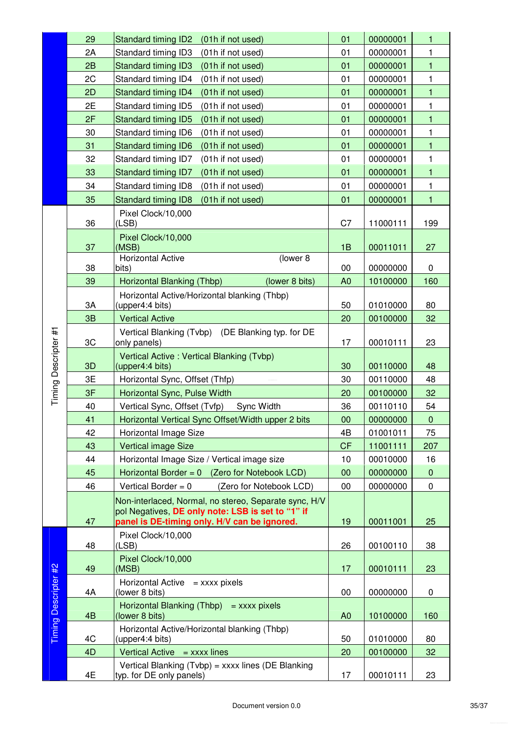|                      | 29             | <b>Standard timing ID2</b><br>(01h if not used)                   | 01             | 00000001 | $\mathbf{1}$ |
|----------------------|----------------|-------------------------------------------------------------------|----------------|----------|--------------|
|                      | 2A             | Standard timing ID3<br>(01h if not used)                          | 01             | 00000001 | 1            |
|                      | 2B             | <b>Standard timing ID3</b><br>(01h if not used)                   | 01             | 00000001 | $\mathbf{1}$ |
|                      | 2C             | Standard timing ID4<br>(01h if not used)                          | 01             | 00000001 | 1            |
|                      | 2D             | Standard timing ID4<br>(01h if not used)                          | 01             | 00000001 | $\mathbf{1}$ |
|                      | 2E             | Standard timing ID5<br>(01h if not used)                          | 01             | 00000001 | 1            |
|                      | 2F             | <b>Standard timing ID5</b><br>(01h if not used)                   | 01             | 00000001 | $\mathbf{1}$ |
|                      | 30             | (01h if not used)<br>Standard timing ID6                          | 01             | 00000001 | $\mathbf{1}$ |
|                      | 31             | <b>Standard timing ID6</b><br>(01h if not used)                   | 01             | 00000001 | $\mathbf{1}$ |
|                      | 32             | Standard timing ID7<br>(01h if not used)                          | 01             | 00000001 | 1            |
|                      | 33             | Standard timing ID7<br>(01h if not used)                          | 01             | 00000001 | $\mathbf{1}$ |
|                      | 34             | Standard timing ID8<br>(01h if not used)                          | 01             | 00000001 | $\mathbf{1}$ |
|                      | 35             | <b>Standard timing ID8</b><br>(01h if not used)                   | 01             | 00000001 | 1            |
|                      |                | Pixel Clock/10,000                                                |                |          |              |
|                      | 36             | (LSB)                                                             | C7             | 11000111 | 199          |
|                      |                | Pixel Clock/10,000                                                |                |          |              |
|                      | 37             | (MSB)                                                             | 1B             | 00011011 | 27           |
|                      |                | <b>Horizontal Active</b><br>(lower 8                              |                |          |              |
|                      | 38             | bits)                                                             | 00             | 00000000 | 0            |
|                      | 39             | (lower 8 bits)<br>Horizontal Blanking (Thbp)                      | A <sub>0</sub> | 10100000 | 160          |
|                      |                | Horizontal Active/Horizontal blanking (Thbp)                      |                |          |              |
|                      | 3A             | (upper4:4 bits)                                                   | 50             | 01010000 | 80           |
|                      | 3B             | <b>Vertical Active</b>                                            | 20             | 00100000 | 32           |
|                      | 3C             | Vertical Blanking (Tvbp) (DE Blanking typ. for DE<br>only panels) | 17             | 00010111 | 23           |
|                      |                | Vertical Active: Vertical Blanking (Tvbp)                         |                |          |              |
|                      | 3D             | (upper4:4 bits)                                                   | 30             | 00110000 | 48           |
|                      | 3E             | Horizontal Sync, Offset (Thfp)                                    | 30             | 00110000 | 48           |
| Timing Descripter #1 | 3F             | Horizontal Sync, Pulse Width                                      | 20             | 00100000 | 32           |
|                      | 40             | Vertical Sync, Offset (Tvfp)<br>Sync Width                        | 36             | 00110110 | 54           |
|                      | 41             | Horizontal Vertical Sync Offset/Width upper 2 bits                | 00             | 00000000 | $\pmb{0}$    |
|                      | 42             | Horizontal Image Size                                             | 4B             | 01001011 | 75           |
|                      | 43             | <b>Vertical image Size</b>                                        | <b>CF</b>      | 11001111 | 207          |
|                      | 44             | Horizontal Image Size / Vertical image size                       | 10             | 00010000 | 16           |
|                      | 45             | Horizontal Border = $0$ (Zero for Notebook LCD)                   | 00             | 00000000 | $\pmb{0}$    |
|                      | 46             | Vertical Border = $0$<br>(Zero for Notebook LCD)                  | 00             | 00000000 | 0            |
|                      |                | Non-interlaced, Normal, no stereo, Separate sync, H/V             |                |          |              |
|                      |                | pol Negatives, DE only note: LSB is set to "1" if                 |                |          |              |
|                      | 47             | panel is DE-timing only. H/V can be ignored.                      | 19             | 00011001 | 25           |
|                      |                | Pixel Clock/10,000                                                |                |          |              |
|                      | 48             | (LSB)                                                             | 26             | 00100110 | 38           |
|                      |                | Pixel Clock/10,000                                                |                |          |              |
|                      | 49             | (MSB)                                                             | 17             | 00010111 | 23           |
|                      | 4A             | Horizontal Active $=$ xxxx pixels<br>(lower 8 bits)               | 00             | 00000000 | 0            |
|                      |                |                                                                   |                |          |              |
|                      | 4 <sub>B</sub> | Horizontal Blanking (Thbp) $=$ xxxx pixels<br>(lower 8 bits)      | A <sub>0</sub> | 10100000 | 160          |
| Timing Descripter #2 |                | Horizontal Active/Horizontal blanking (Thbp)                      |                |          |              |
|                      | 4C             | (upper4:4 bits)                                                   | 50             | 01010000 | 80           |
|                      | 4D             | Vertical Active $=$ xxxx lines                                    | 20             | 00100000 | 32           |
|                      |                | Vertical Blanking (Tvbp) = xxxx lines (DE Blanking                |                |          |              |
|                      | 4E             | typ. for DE only panels)                                          | 17             | 00010111 | 23           |

Timing Descripter #2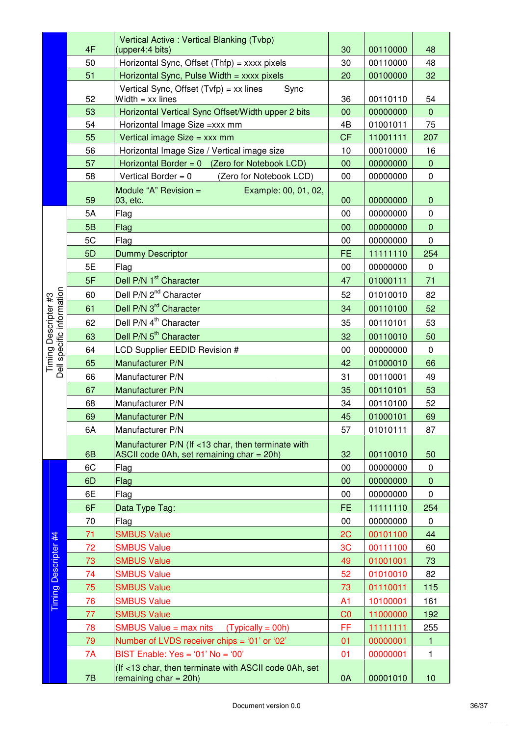|                                              |    | Vertical Active: Vertical Blanking (Tvbp)                               |                |          |              |
|----------------------------------------------|----|-------------------------------------------------------------------------|----------------|----------|--------------|
|                                              | 4F | (upper4:4 bits)                                                         | 30             | 00110000 | 48           |
|                                              | 50 | Horizontal Sync, Offset (Thfp) = xxxx pixels                            | 30             | 00110000 | 48           |
|                                              | 51 | Horizontal Sync, Pulse Width = xxxx pixels                              | 20             | 00100000 | 32           |
|                                              | 52 | Vertical Sync, Offset $(Tvfp) = xx$ lines<br>Sync<br>Width $=$ xx lines | 36             | 00110110 | 54           |
|                                              | 53 | Horizontal Vertical Sync Offset/Width upper 2 bits                      | 00             | 00000000 | $\mathbf 0$  |
|                                              | 54 | Horizontal Image Size = xxx mm                                          | 4B             | 01001011 | 75           |
|                                              | 55 | Vertical image Size = xxx mm                                            | <b>CF</b>      | 11001111 | 207          |
|                                              | 56 | Horizontal Image Size / Vertical image size                             | 10             | 00010000 | 16           |
|                                              | 57 | Horizontal Border = $0$ (Zero for Notebook LCD)                         | 00             | 00000000 | $\mathbf 0$  |
|                                              | 58 | Vertical Border = $0$<br>(Zero for Notebook LCD)                        | 00             | 00000000 | 0            |
|                                              |    | Module "A" Revision $=$<br>Example: 00, 01, 02,                         |                |          |              |
|                                              | 59 | 03, etc.                                                                | 00             | 00000000 | $\pmb{0}$    |
|                                              | 5A | Flag                                                                    | 00             | 00000000 | 0            |
|                                              | 5B | Flag                                                                    | 00             | 00000000 | $\mathbf 0$  |
|                                              | 5C | Flag                                                                    | 00             | 00000000 | 0            |
|                                              | 5D | <b>Dummy Descriptor</b>                                                 | <b>FE</b>      | 11111110 | 254          |
|                                              | 5E | Flag                                                                    | 00             | 00000000 | $\pmb{0}$    |
|                                              | 5F | Dell P/N 1 <sup>st</sup> Character                                      | 47             | 01000111 | 71           |
|                                              | 60 | Dell P/N 2 <sup>nd</sup> Character                                      | 52             | 01010010 | 82           |
|                                              | 61 | Dell P/N 3 <sup>rd</sup> Character                                      | 34             | 00110100 | 52           |
| specific information<br>Timing Descripter #3 | 62 | Dell P/N 4 <sup>th</sup> Character                                      | 35             | 00110101 | 53           |
|                                              | 63 | Dell P/N 5 <sup>th</sup> Character                                      | 32             | 00110010 | 50           |
|                                              | 64 | LCD Supplier EEDID Revision #                                           | 00             | 00000000 | $\mathbf 0$  |
|                                              | 65 | Manufacturer P/N                                                        | 42             | 01000010 | 66           |
| Dell                                         | 66 | Manufacturer P/N                                                        | 31             | 00110001 | 49           |
|                                              | 67 | Manufacturer P/N                                                        | 35             | 00110101 | 53           |
|                                              | 68 | Manufacturer P/N                                                        | 34             | 00110100 | 52           |
|                                              | 69 | Manufacturer P/N                                                        | 45             | 01000101 | 69           |
|                                              | 6A | Manufacturer P/N                                                        | 57             | 01010111 | 87           |
|                                              |    | Manufacturer P/N (If <13 char, then terminate with                      |                |          |              |
|                                              | 6B | ASCII code 0Ah, set remaining char = 20h)                               | 32             | 00110010 | 50           |
|                                              | 6C | Flag                                                                    | 00             | 00000000 | 0            |
|                                              | 6D | Flag                                                                    | 00             | 00000000 | $\mathbf 0$  |
|                                              | 6E | Flag                                                                    | 00             | 00000000 | 0            |
|                                              | 6F | Data Type Tag:                                                          | <b>FE</b>      | 11111110 | 254          |
|                                              | 70 | Flag                                                                    | 00             | 00000000 | 0            |
|                                              | 71 | <b>SMBUS Value</b>                                                      | 2C             | 00101100 | 44           |
|                                              | 72 | <b>SMBUS Value</b>                                                      | 3C             | 00111100 | 60           |
| <b>Timing Descripter #4</b>                  | 73 | <b>SMBUS Value</b>                                                      | 49             | 01001001 | 73           |
|                                              | 74 | <b>SMBUS Value</b>                                                      | 52             | 01010010 | 82           |
|                                              | 75 | <b>SMBUS Value</b>                                                      | 73             | 01110011 | 115          |
|                                              | 76 | <b>SMBUS Value</b>                                                      | A <sub>1</sub> | 10100001 | 161          |
|                                              | 77 | <b>SMBUS Value</b>                                                      | CO             | 11000000 | 192          |
|                                              | 78 | SMBUS Value $=$ max nits<br>$(Typically = 00h)$                         | FF             | 11111111 | 255          |
|                                              | 79 | Number of LVDS receiver chips = '01' or '02'                            | 01             | 00000001 | $\mathbf{1}$ |
|                                              | 7A | BIST Enable: $Yes = '01' No = '00'$                                     | 01             | 00000001 | $\mathbf{1}$ |
|                                              |    | (If <13 char, then terminate with ASCII code 0Ah, set                   |                |          |              |
|                                              | 7B | remaining $char = 20h$ )                                                | 0A             | 00001010 | 10           |